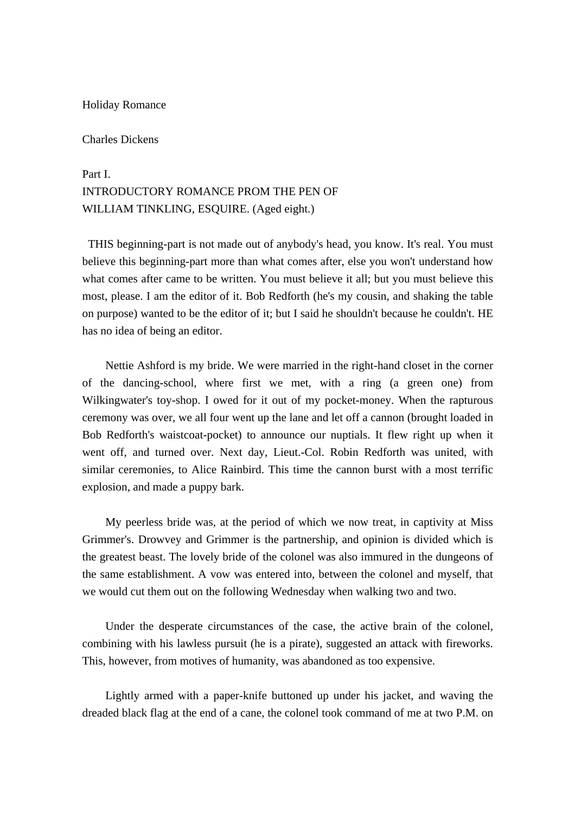#### Holiday Romance

### Charles Dickens

## Part I. INTRODUCTORY ROMANCE PROM THE PEN OF WILLIAM TINKLING, ESOUIRE. (Aged eight.)

 THIS beginning-part is not made out of anybody's head, you know. It's real. You must believe this beginning-part more than what comes after, else you won't understand how what comes after came to be written. You must believe it all; but you must believe this most, please. I am the editor of it. Bob Redforth (he's my cousin, and shaking the table on purpose) wanted to be the editor of it; but I said he shouldn't because he couldn't. HE has no idea of being an editor.

 Nettie Ashford is my bride. We were married in the right-hand closet in the corner of the dancing-school, where first we met, with a ring (a green one) from Wilkingwater's toy-shop. I owed for it out of my pocket-money. When the rapturous ceremony was over, we all four went up the lane and let off a cannon (brought loaded in Bob Redforth's waistcoat-pocket) to announce our nuptials. It flew right up when it went off, and turned over. Next day, Lieut.-Col. Robin Redforth was united, with similar ceremonies, to Alice Rainbird. This time the cannon burst with a most terrific explosion, and made a puppy bark.

 My peerless bride was, at the period of which we now treat, in captivity at Miss Grimmer's. Drowvey and Grimmer is the partnership, and opinion is divided which is the greatest beast. The lovely bride of the colonel was also immured in the dungeons of the same establishment. A vow was entered into, between the colonel and myself, that we would cut them out on the following Wednesday when walking two and two.

 Under the desperate circumstances of the case, the active brain of the colonel, combining with his lawless pursuit (he is a pirate), suggested an attack with fireworks. This, however, from motives of humanity, was abandoned as too expensive.

 Lightly armed with a paper-knife buttoned up under his jacket, and waving the dreaded black flag at the end of a cane, the colonel took command of me at two P.M. on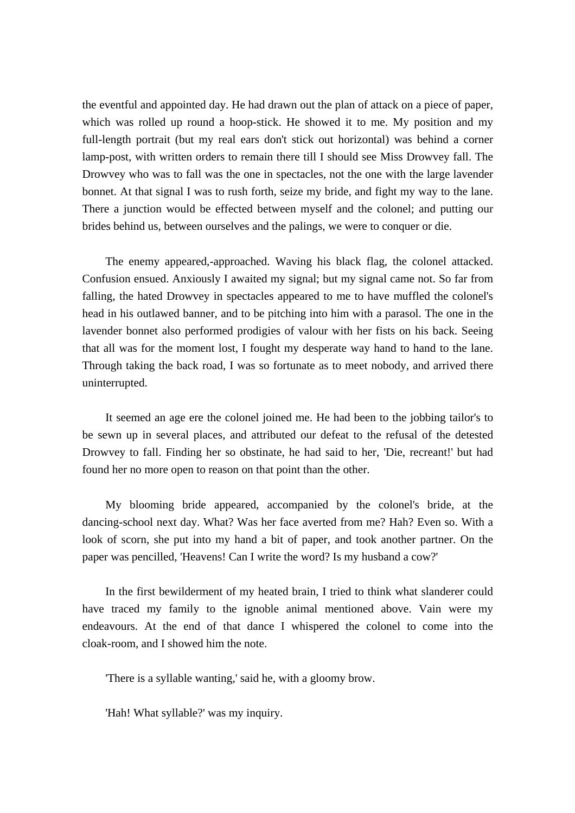the eventful and appointed day. He had drawn out the plan of attack on a piece of paper, which was rolled up round a hoop-stick. He showed it to me. My position and my full-length portrait (but my real ears don't stick out horizontal) was behind a corner lamp-post, with written orders to remain there till I should see Miss Drowvey fall. The Drowvey who was to fall was the one in spectacles, not the one with the large lavender bonnet. At that signal I was to rush forth, seize my bride, and fight my way to the lane. There a junction would be effected between myself and the colonel; and putting our brides behind us, between ourselves and the palings, we were to conquer or die.

 The enemy appeared,-approached. Waving his black flag, the colonel attacked. Confusion ensued. Anxiously I awaited my signal; but my signal came not. So far from falling, the hated Drowvey in spectacles appeared to me to have muffled the colonel's head in his outlawed banner, and to be pitching into him with a parasol. The one in the lavender bonnet also performed prodigies of valour with her fists on his back. Seeing that all was for the moment lost, I fought my desperate way hand to hand to the lane. Through taking the back road, I was so fortunate as to meet nobody, and arrived there uninterrupted.

 It seemed an age ere the colonel joined me. He had been to the jobbing tailor's to be sewn up in several places, and attributed our defeat to the refusal of the detested Drowvey to fall. Finding her so obstinate, he had said to her, 'Die, recreant!' but had found her no more open to reason on that point than the other.

 My blooming bride appeared, accompanied by the colonel's bride, at the dancing-school next day. What? Was her face averted from me? Hah? Even so. With a look of scorn, she put into my hand a bit of paper, and took another partner. On the paper was pencilled, 'Heavens! Can I write the word? Is my husband a cow?'

 In the first bewilderment of my heated brain, I tried to think what slanderer could have traced my family to the ignoble animal mentioned above. Vain were my endeavours. At the end of that dance I whispered the colonel to come into the cloak-room, and I showed him the note.

'There is a syllable wanting,' said he, with a gloomy brow.

'Hah! What syllable?' was my inquiry.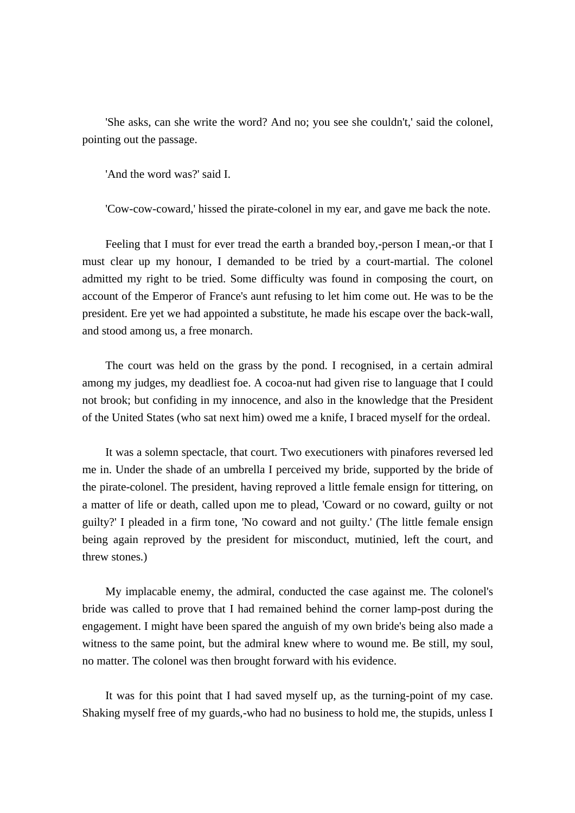'She asks, can she write the word? And no; you see she couldn't,' said the colonel, pointing out the passage.

'And the word was?' said I.

'Cow-cow-coward,' hissed the pirate-colonel in my ear, and gave me back the note.

 Feeling that I must for ever tread the earth a branded boy,-person I mean,-or that I must clear up my honour, I demanded to be tried by a court-martial. The colonel admitted my right to be tried. Some difficulty was found in composing the court, on account of the Emperor of France's aunt refusing to let him come out. He was to be the president. Ere yet we had appointed a substitute, he made his escape over the back-wall, and stood among us, a free monarch.

 The court was held on the grass by the pond. I recognised, in a certain admiral among my judges, my deadliest foe. A cocoa-nut had given rise to language that I could not brook; but confiding in my innocence, and also in the knowledge that the President of the United States (who sat next him) owed me a knife, I braced myself for the ordeal.

 It was a solemn spectacle, that court. Two executioners with pinafores reversed led me in. Under the shade of an umbrella I perceived my bride, supported by the bride of the pirate-colonel. The president, having reproved a little female ensign for tittering, on a matter of life or death, called upon me to plead, 'Coward or no coward, guilty or not guilty?' I pleaded in a firm tone, 'No coward and not guilty.' (The little female ensign being again reproved by the president for misconduct, mutinied, left the court, and threw stones.)

 My implacable enemy, the admiral, conducted the case against me. The colonel's bride was called to prove that I had remained behind the corner lamp-post during the engagement. I might have been spared the anguish of my own bride's being also made a witness to the same point, but the admiral knew where to wound me. Be still, my soul, no matter. The colonel was then brought forward with his evidence.

 It was for this point that I had saved myself up, as the turning-point of my case. Shaking myself free of my guards,-who had no business to hold me, the stupids, unless I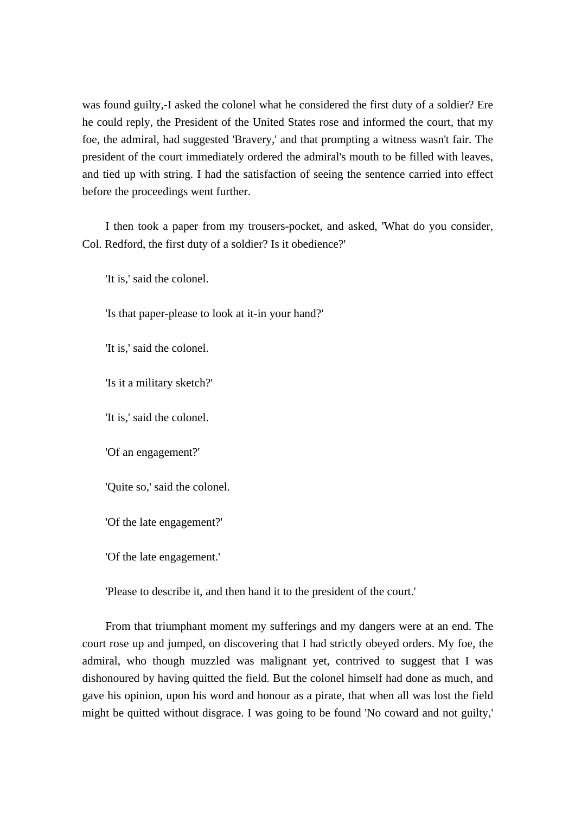was found guilty,-I asked the colonel what he considered the first duty of a soldier? Ere he could reply, the President of the United States rose and informed the court, that my foe, the admiral, had suggested 'Bravery,' and that prompting a witness wasn't fair. The president of the court immediately ordered the admiral's mouth to be filled with leaves, and tied up with string. I had the satisfaction of seeing the sentence carried into effect before the proceedings went further.

 I then took a paper from my trousers-pocket, and asked, 'What do you consider, Col. Redford, the first duty of a soldier? Is it obedience?'

'It is,' said the colonel.

'Is that paper-please to look at it-in your hand?'

'It is,' said the colonel.

'Is it a military sketch?'

'It is,' said the colonel.

'Of an engagement?'

'Quite so,' said the colonel.

'Of the late engagement?'

'Of the late engagement.'

'Please to describe it, and then hand it to the president of the court.'

 From that triumphant moment my sufferings and my dangers were at an end. The court rose up and jumped, on discovering that I had strictly obeyed orders. My foe, the admiral, who though muzzled was malignant yet, contrived to suggest that I was dishonoured by having quitted the field. But the colonel himself had done as much, and gave his opinion, upon his word and honour as a pirate, that when all was lost the field might be quitted without disgrace. I was going to be found 'No coward and not guilty,'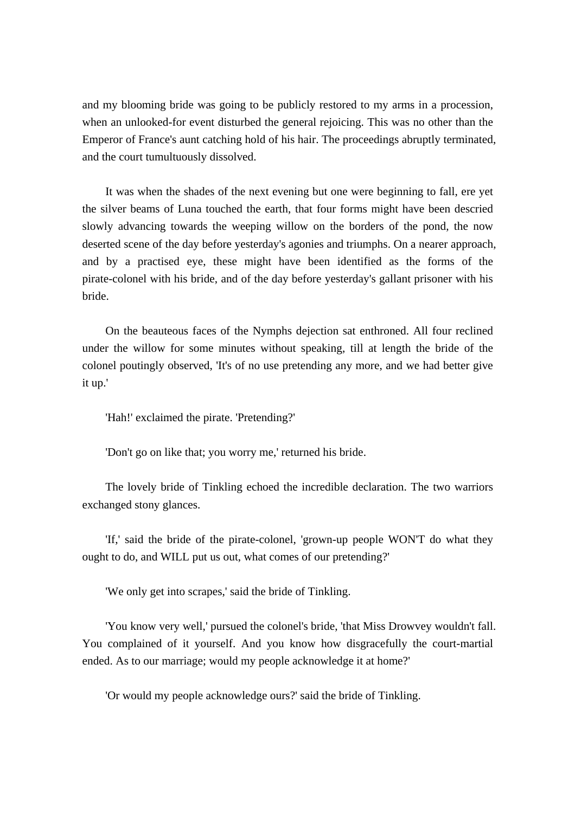and my blooming bride was going to be publicly restored to my arms in a procession, when an unlooked-for event disturbed the general rejoicing. This was no other than the Emperor of France's aunt catching hold of his hair. The proceedings abruptly terminated, and the court tumultuously dissolved.

 It was when the shades of the next evening but one were beginning to fall, ere yet the silver beams of Luna touched the earth, that four forms might have been descried slowly advancing towards the weeping willow on the borders of the pond, the now deserted scene of the day before yesterday's agonies and triumphs. On a nearer approach, and by a practised eye, these might have been identified as the forms of the pirate-colonel with his bride, and of the day before yesterday's gallant prisoner with his bride.

 On the beauteous faces of the Nymphs dejection sat enthroned. All four reclined under the willow for some minutes without speaking, till at length the bride of the colonel poutingly observed, 'It's of no use pretending any more, and we had better give it up.'

'Hah!' exclaimed the pirate. 'Pretending?'

'Don't go on like that; you worry me,' returned his bride.

 The lovely bride of Tinkling echoed the incredible declaration. The two warriors exchanged stony glances.

 'If,' said the bride of the pirate-colonel, 'grown-up people WON'T do what they ought to do, and WILL put us out, what comes of our pretending?'

'We only get into scrapes,' said the bride of Tinkling.

 'You know very well,' pursued the colonel's bride, 'that Miss Drowvey wouldn't fall. You complained of it yourself. And you know how disgracefully the court-martial ended. As to our marriage; would my people acknowledge it at home?'

'Or would my people acknowledge ours?' said the bride of Tinkling.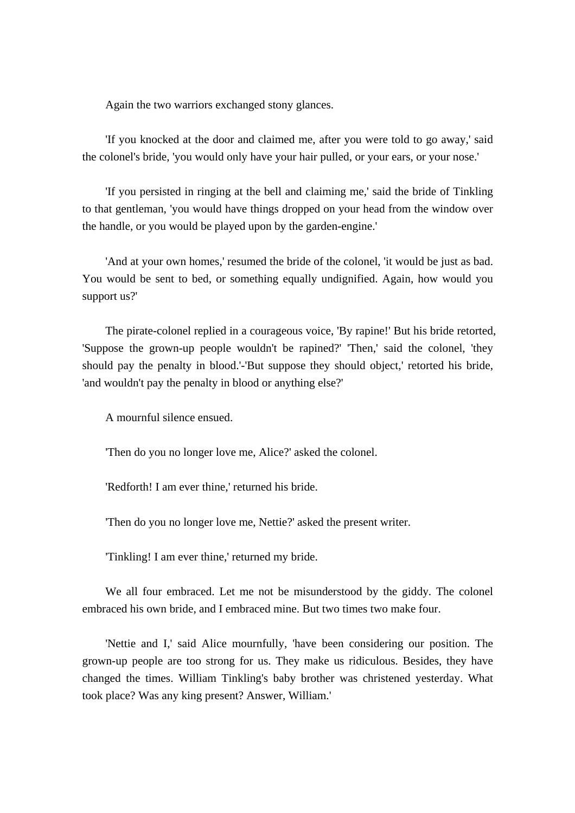Again the two warriors exchanged stony glances.

 'If you knocked at the door and claimed me, after you were told to go away,' said the colonel's bride, 'you would only have your hair pulled, or your ears, or your nose.'

 'If you persisted in ringing at the bell and claiming me,' said the bride of Tinkling to that gentleman, 'you would have things dropped on your head from the window over the handle, or you would be played upon by the garden-engine.'

 'And at your own homes,' resumed the bride of the colonel, 'it would be just as bad. You would be sent to bed, or something equally undignified. Again, how would you support us?'

 The pirate-colonel replied in a courageous voice, 'By rapine!' But his bride retorted, 'Suppose the grown-up people wouldn't be rapined?' 'Then,' said the colonel, 'they should pay the penalty in blood.'-'But suppose they should object,' retorted his bride, 'and wouldn't pay the penalty in blood or anything else?'

A mournful silence ensued.

'Then do you no longer love me, Alice?' asked the colonel.

'Redforth! I am ever thine,' returned his bride.

'Then do you no longer love me, Nettie?' asked the present writer.

'Tinkling! I am ever thine,' returned my bride.

 We all four embraced. Let me not be misunderstood by the giddy. The colonel embraced his own bride, and I embraced mine. But two times two make four.

 'Nettie and I,' said Alice mournfully, 'have been considering our position. The grown-up people are too strong for us. They make us ridiculous. Besides, they have changed the times. William Tinkling's baby brother was christened yesterday. What took place? Was any king present? Answer, William.'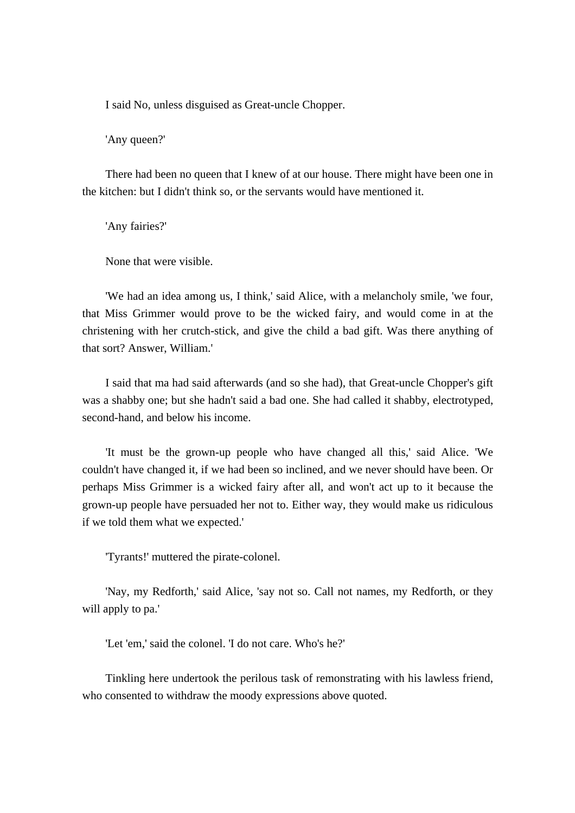I said No, unless disguised as Great-uncle Chopper.

'Any queen?'

 There had been no queen that I knew of at our house. There might have been one in the kitchen: but I didn't think so, or the servants would have mentioned it.

'Any fairies?'

None that were visible.

 'We had an idea among us, I think,' said Alice, with a melancholy smile, 'we four, that Miss Grimmer would prove to be the wicked fairy, and would come in at the christening with her crutch-stick, and give the child a bad gift. Was there anything of that sort? Answer, William.'

 I said that ma had said afterwards (and so she had), that Great-uncle Chopper's gift was a shabby one; but she hadn't said a bad one. She had called it shabby, electrotyped, second-hand, and below his income.

 'It must be the grown-up people who have changed all this,' said Alice. 'We couldn't have changed it, if we had been so inclined, and we never should have been. Or perhaps Miss Grimmer is a wicked fairy after all, and won't act up to it because the grown-up people have persuaded her not to. Either way, they would make us ridiculous if we told them what we expected.'

'Tyrants!' muttered the pirate-colonel.

 'Nay, my Redforth,' said Alice, 'say not so. Call not names, my Redforth, or they will apply to pa.'

'Let 'em,' said the colonel. 'I do not care. Who's he?'

 Tinkling here undertook the perilous task of remonstrating with his lawless friend, who consented to withdraw the moody expressions above quoted.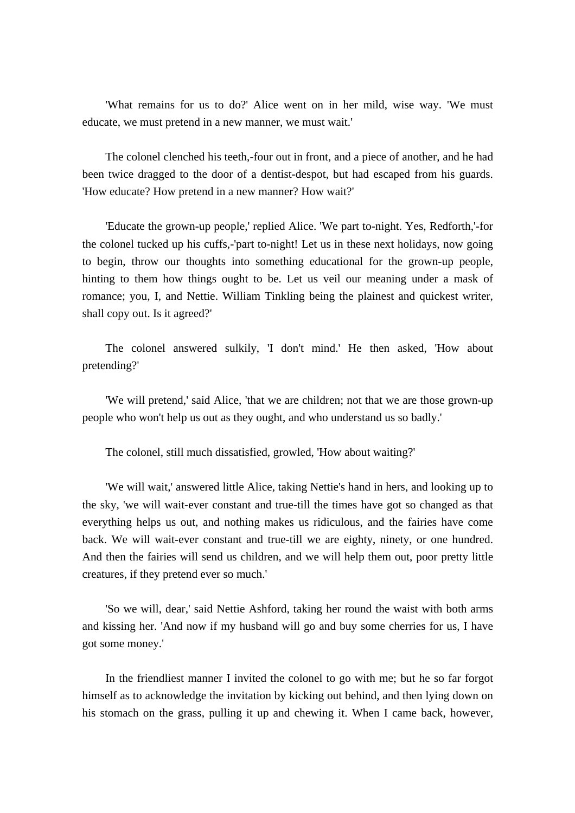'What remains for us to do?' Alice went on in her mild, wise way. 'We must educate, we must pretend in a new manner, we must wait.'

 The colonel clenched his teeth,-four out in front, and a piece of another, and he had been twice dragged to the door of a dentist-despot, but had escaped from his guards. 'How educate? How pretend in a new manner? How wait?'

 'Educate the grown-up people,' replied Alice. 'We part to-night. Yes, Redforth,'-for the colonel tucked up his cuffs,-'part to-night! Let us in these next holidays, now going to begin, throw our thoughts into something educational for the grown-up people, hinting to them how things ought to be. Let us veil our meaning under a mask of romance; you, I, and Nettie. William Tinkling being the plainest and quickest writer, shall copy out. Is it agreed?'

 The colonel answered sulkily, 'I don't mind.' He then asked, 'How about pretending?'

 'We will pretend,' said Alice, 'that we are children; not that we are those grown-up people who won't help us out as they ought, and who understand us so badly.'

The colonel, still much dissatisfied, growled, 'How about waiting?'

 'We will wait,' answered little Alice, taking Nettie's hand in hers, and looking up to the sky, 'we will wait-ever constant and true-till the times have got so changed as that everything helps us out, and nothing makes us ridiculous, and the fairies have come back. We will wait-ever constant and true-till we are eighty, ninety, or one hundred. And then the fairies will send us children, and we will help them out, poor pretty little creatures, if they pretend ever so much.'

 'So we will, dear,' said Nettie Ashford, taking her round the waist with both arms and kissing her. 'And now if my husband will go and buy some cherries for us, I have got some money.'

 In the friendliest manner I invited the colonel to go with me; but he so far forgot himself as to acknowledge the invitation by kicking out behind, and then lying down on his stomach on the grass, pulling it up and chewing it. When I came back, however,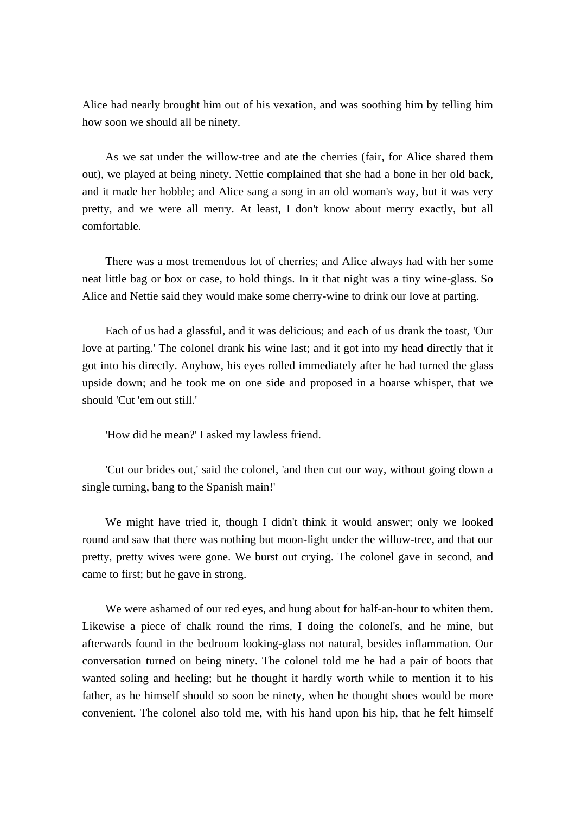Alice had nearly brought him out of his vexation, and was soothing him by telling him how soon we should all be ninety.

 As we sat under the willow-tree and ate the cherries (fair, for Alice shared them out), we played at being ninety. Nettie complained that she had a bone in her old back, and it made her hobble; and Alice sang a song in an old woman's way, but it was very pretty, and we were all merry. At least, I don't know about merry exactly, but all comfortable.

 There was a most tremendous lot of cherries; and Alice always had with her some neat little bag or box or case, to hold things. In it that night was a tiny wine-glass. So Alice and Nettie said they would make some cherry-wine to drink our love at parting.

 Each of us had a glassful, and it was delicious; and each of us drank the toast, 'Our love at parting.' The colonel drank his wine last; and it got into my head directly that it got into his directly. Anyhow, his eyes rolled immediately after he had turned the glass upside down; and he took me on one side and proposed in a hoarse whisper, that we should 'Cut 'em out still.'

'How did he mean?' I asked my lawless friend.

 'Cut our brides out,' said the colonel, 'and then cut our way, without going down a single turning, bang to the Spanish main!'

 We might have tried it, though I didn't think it would answer; only we looked round and saw that there was nothing but moon-light under the willow-tree, and that our pretty, pretty wives were gone. We burst out crying. The colonel gave in second, and came to first; but he gave in strong.

 We were ashamed of our red eyes, and hung about for half-an-hour to whiten them. Likewise a piece of chalk round the rims, I doing the colonel's, and he mine, but afterwards found in the bedroom looking-glass not natural, besides inflammation. Our conversation turned on being ninety. The colonel told me he had a pair of boots that wanted soling and heeling; but he thought it hardly worth while to mention it to his father, as he himself should so soon be ninety, when he thought shoes would be more convenient. The colonel also told me, with his hand upon his hip, that he felt himself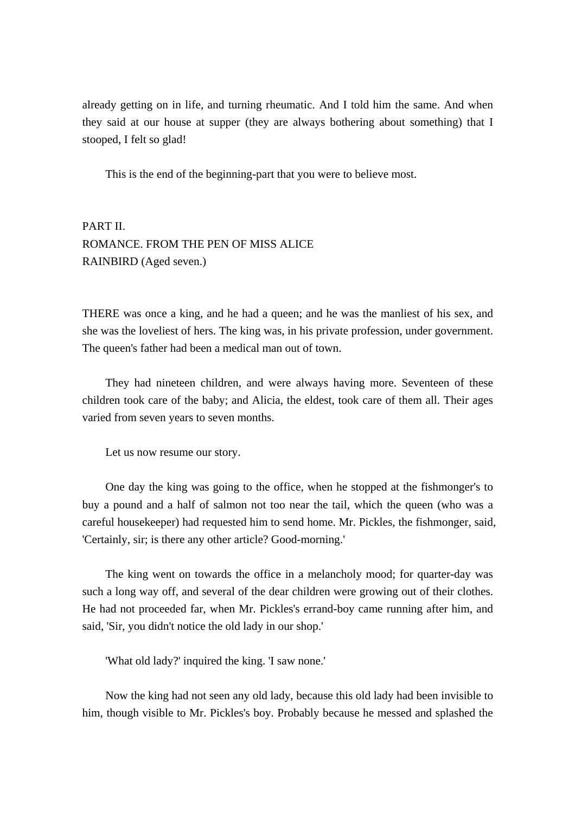already getting on in life, and turning rheumatic. And I told him the same. And when they said at our house at supper (they are always bothering about something) that I stooped, I felt so glad!

This is the end of the beginning-part that you were to believe most.

PART II. ROMANCE. FROM THE PEN OF MISS ALICE RAINBIRD (Aged seven.)

THERE was once a king, and he had a queen; and he was the manliest of his sex, and she was the loveliest of hers. The king was, in his private profession, under government. The queen's father had been a medical man out of town.

 They had nineteen children, and were always having more. Seventeen of these children took care of the baby; and Alicia, the eldest, took care of them all. Their ages varied from seven years to seven months.

Let us now resume our story.

 One day the king was going to the office, when he stopped at the fishmonger's to buy a pound and a half of salmon not too near the tail, which the queen (who was a careful housekeeper) had requested him to send home. Mr. Pickles, the fishmonger, said, 'Certainly, sir; is there any other article? Good-morning.'

 The king went on towards the office in a melancholy mood; for quarter-day was such a long way off, and several of the dear children were growing out of their clothes. He had not proceeded far, when Mr. Pickles's errand-boy came running after him, and said, 'Sir, you didn't notice the old lady in our shop.'

'What old lady?' inquired the king. 'I saw none.'

 Now the king had not seen any old lady, because this old lady had been invisible to him, though visible to Mr. Pickles's boy. Probably because he messed and splashed the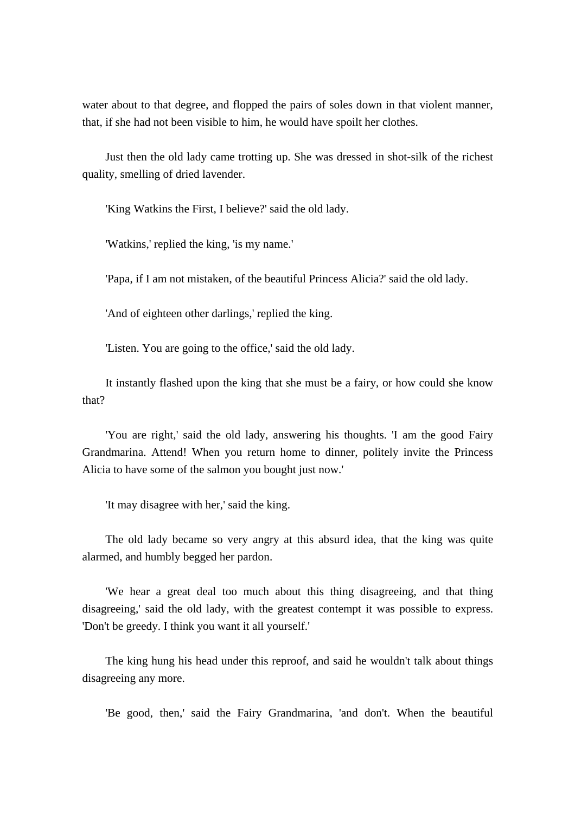water about to that degree, and flopped the pairs of soles down in that violent manner, that, if she had not been visible to him, he would have spoilt her clothes.

 Just then the old lady came trotting up. She was dressed in shot-silk of the richest quality, smelling of dried lavender.

'King Watkins the First, I believe?' said the old lady.

'Watkins,' replied the king, 'is my name.'

'Papa, if I am not mistaken, of the beautiful Princess Alicia?' said the old lady.

'And of eighteen other darlings,' replied the king.

'Listen. You are going to the office,' said the old lady.

 It instantly flashed upon the king that she must be a fairy, or how could she know that?

 'You are right,' said the old lady, answering his thoughts. 'I am the good Fairy Grandmarina. Attend! When you return home to dinner, politely invite the Princess Alicia to have some of the salmon you bought just now.'

'It may disagree with her,' said the king.

 The old lady became so very angry at this absurd idea, that the king was quite alarmed, and humbly begged her pardon.

 'We hear a great deal too much about this thing disagreeing, and that thing disagreeing,' said the old lady, with the greatest contempt it was possible to express. 'Don't be greedy. I think you want it all yourself.'

 The king hung his head under this reproof, and said he wouldn't talk about things disagreeing any more.

'Be good, then,' said the Fairy Grandmarina, 'and don't. When the beautiful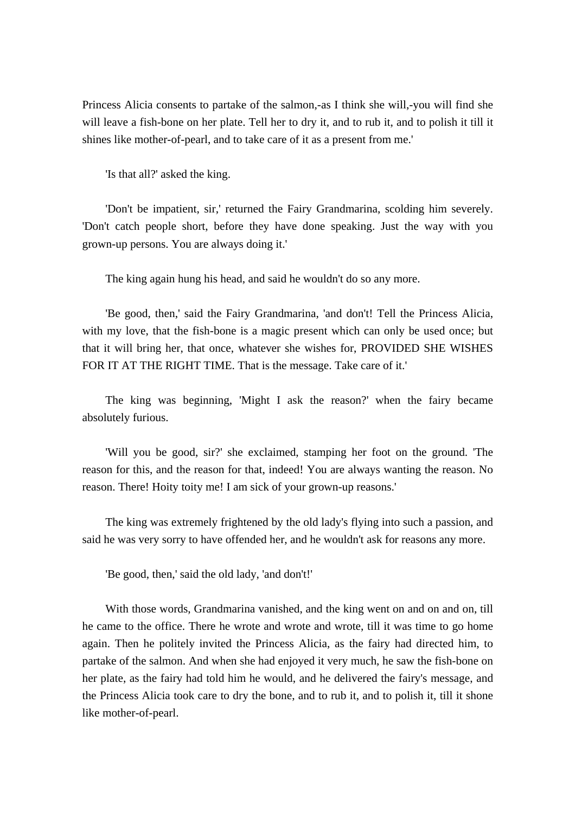Princess Alicia consents to partake of the salmon,-as I think she will,-you will find she will leave a fish-bone on her plate. Tell her to dry it, and to rub it, and to polish it till it shines like mother-of-pearl, and to take care of it as a present from me.'

'Is that all?' asked the king.

 'Don't be impatient, sir,' returned the Fairy Grandmarina, scolding him severely. 'Don't catch people short, before they have done speaking. Just the way with you grown-up persons. You are always doing it.'

The king again hung his head, and said he wouldn't do so any more.

 'Be good, then,' said the Fairy Grandmarina, 'and don't! Tell the Princess Alicia, with my love, that the fish-bone is a magic present which can only be used once; but that it will bring her, that once, whatever she wishes for, PROVIDED SHE WISHES FOR IT AT THE RIGHT TIME. That is the message. Take care of it.'

 The king was beginning, 'Might I ask the reason?' when the fairy became absolutely furious.

 'Will you be good, sir?' she exclaimed, stamping her foot on the ground. 'The reason for this, and the reason for that, indeed! You are always wanting the reason. No reason. There! Hoity toity me! I am sick of your grown-up reasons.'

 The king was extremely frightened by the old lady's flying into such a passion, and said he was very sorry to have offended her, and he wouldn't ask for reasons any more.

'Be good, then,' said the old lady, 'and don't!'

 With those words, Grandmarina vanished, and the king went on and on and on, till he came to the office. There he wrote and wrote and wrote, till it was time to go home again. Then he politely invited the Princess Alicia, as the fairy had directed him, to partake of the salmon. And when she had enjoyed it very much, he saw the fish-bone on her plate, as the fairy had told him he would, and he delivered the fairy's message, and the Princess Alicia took care to dry the bone, and to rub it, and to polish it, till it shone like mother-of-pearl.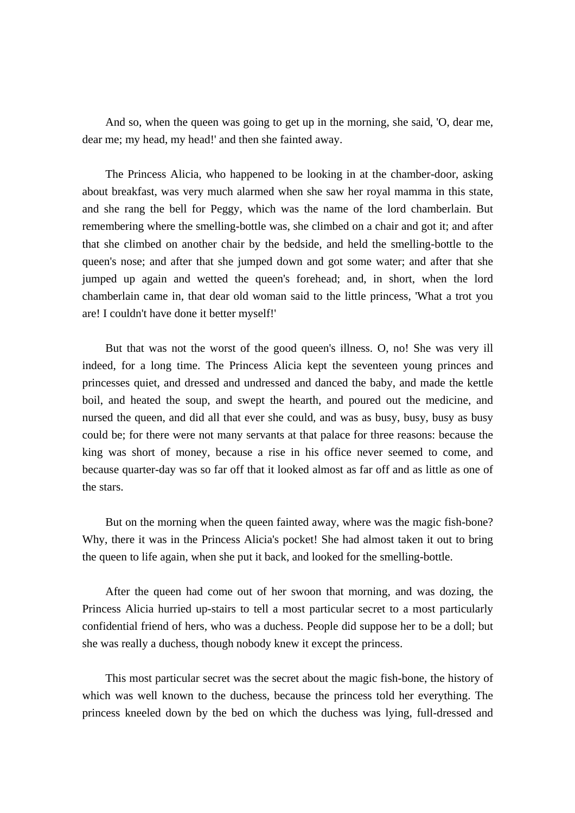And so, when the queen was going to get up in the morning, she said, 'O, dear me, dear me; my head, my head!' and then she fainted away.

 The Princess Alicia, who happened to be looking in at the chamber-door, asking about breakfast, was very much alarmed when she saw her royal mamma in this state, and she rang the bell for Peggy, which was the name of the lord chamberlain. But remembering where the smelling-bottle was, she climbed on a chair and got it; and after that she climbed on another chair by the bedside, and held the smelling-bottle to the queen's nose; and after that she jumped down and got some water; and after that she jumped up again and wetted the queen's forehead; and, in short, when the lord chamberlain came in, that dear old woman said to the little princess, 'What a trot you are! I couldn't have done it better myself!'

 But that was not the worst of the good queen's illness. O, no! She was very ill indeed, for a long time. The Princess Alicia kept the seventeen young princes and princesses quiet, and dressed and undressed and danced the baby, and made the kettle boil, and heated the soup, and swept the hearth, and poured out the medicine, and nursed the queen, and did all that ever she could, and was as busy, busy, busy as busy could be; for there were not many servants at that palace for three reasons: because the king was short of money, because a rise in his office never seemed to come, and because quarter-day was so far off that it looked almost as far off and as little as one of the stars.

 But on the morning when the queen fainted away, where was the magic fish-bone? Why, there it was in the Princess Alicia's pocket! She had almost taken it out to bring the queen to life again, when she put it back, and looked for the smelling-bottle.

 After the queen had come out of her swoon that morning, and was dozing, the Princess Alicia hurried up-stairs to tell a most particular secret to a most particularly confidential friend of hers, who was a duchess. People did suppose her to be a doll; but she was really a duchess, though nobody knew it except the princess.

 This most particular secret was the secret about the magic fish-bone, the history of which was well known to the duchess, because the princess told her everything. The princess kneeled down by the bed on which the duchess was lying, full-dressed and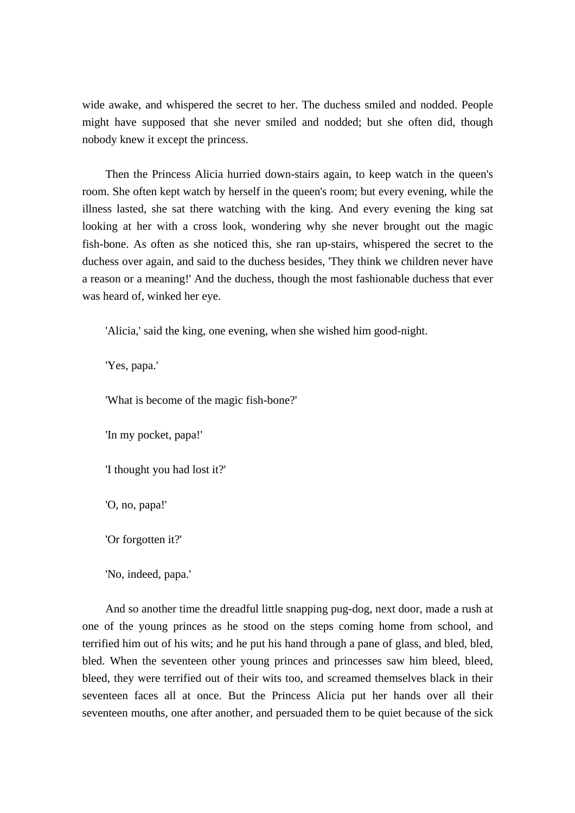wide awake, and whispered the secret to her. The duchess smiled and nodded. People might have supposed that she never smiled and nodded; but she often did, though nobody knew it except the princess.

 Then the Princess Alicia hurried down-stairs again, to keep watch in the queen's room. She often kept watch by herself in the queen's room; but every evening, while the illness lasted, she sat there watching with the king. And every evening the king sat looking at her with a cross look, wondering why she never brought out the magic fish-bone. As often as she noticed this, she ran up-stairs, whispered the secret to the duchess over again, and said to the duchess besides, 'They think we children never have a reason or a meaning!' And the duchess, though the most fashionable duchess that ever was heard of, winked her eye.

'Alicia,' said the king, one evening, when she wished him good-night.

'Yes, papa.'

'What is become of the magic fish-bone?'

'In my pocket, papa!'

'I thought you had lost it?'

'O, no, papa!'

'Or forgotten it?'

'No, indeed, papa.'

 And so another time the dreadful little snapping pug-dog, next door, made a rush at one of the young princes as he stood on the steps coming home from school, and terrified him out of his wits; and he put his hand through a pane of glass, and bled, bled, bled. When the seventeen other young princes and princesses saw him bleed, bleed, bleed, they were terrified out of their wits too, and screamed themselves black in their seventeen faces all at once. But the Princess Alicia put her hands over all their seventeen mouths, one after another, and persuaded them to be quiet because of the sick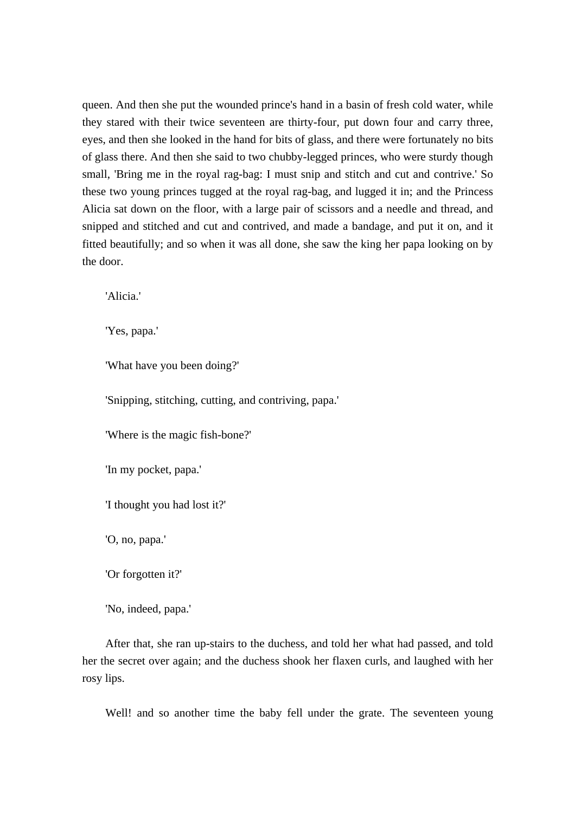queen. And then she put the wounded prince's hand in a basin of fresh cold water, while they stared with their twice seventeen are thirty-four, put down four and carry three, eyes, and then she looked in the hand for bits of glass, and there were fortunately no bits of glass there. And then she said to two chubby-legged princes, who were sturdy though small, 'Bring me in the royal rag-bag: I must snip and stitch and cut and contrive.' So these two young princes tugged at the royal rag-bag, and lugged it in; and the Princess Alicia sat down on the floor, with a large pair of scissors and a needle and thread, and snipped and stitched and cut and contrived, and made a bandage, and put it on, and it fitted beautifully; and so when it was all done, she saw the king her papa looking on by the door.

'Alicia.'

'Yes, papa.'

'What have you been doing?'

'Snipping, stitching, cutting, and contriving, papa.'

'Where is the magic fish-bone?'

'In my pocket, papa.'

'I thought you had lost it?'

'O, no, papa.'

'Or forgotten it?'

'No, indeed, papa.'

 After that, she ran up-stairs to the duchess, and told her what had passed, and told her the secret over again; and the duchess shook her flaxen curls, and laughed with her rosy lips.

Well! and so another time the baby fell under the grate. The seventeen young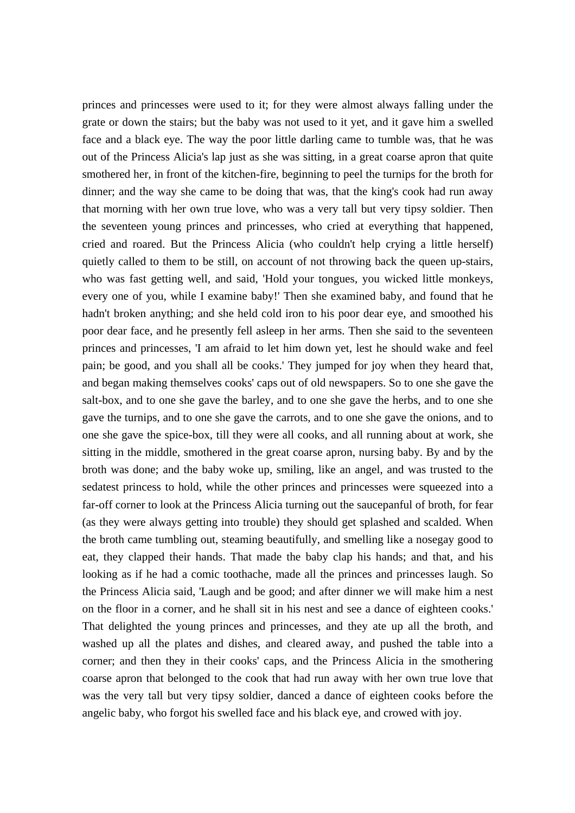princes and princesses were used to it; for they were almost always falling under the grate or down the stairs; but the baby was not used to it yet, and it gave him a swelled face and a black eye. The way the poor little darling came to tumble was, that he was out of the Princess Alicia's lap just as she was sitting, in a great coarse apron that quite smothered her, in front of the kitchen-fire, beginning to peel the turnips for the broth for dinner; and the way she came to be doing that was, that the king's cook had run away that morning with her own true love, who was a very tall but very tipsy soldier. Then the seventeen young princes and princesses, who cried at everything that happened, cried and roared. But the Princess Alicia (who couldn't help crying a little herself) quietly called to them to be still, on account of not throwing back the queen up-stairs, who was fast getting well, and said, 'Hold your tongues, you wicked little monkeys, every one of you, while I examine baby!' Then she examined baby, and found that he hadn't broken anything; and she held cold iron to his poor dear eye, and smoothed his poor dear face, and he presently fell asleep in her arms. Then she said to the seventeen princes and princesses, 'I am afraid to let him down yet, lest he should wake and feel pain; be good, and you shall all be cooks.' They jumped for joy when they heard that, and began making themselves cooks' caps out of old newspapers. So to one she gave the salt-box, and to one she gave the barley, and to one she gave the herbs, and to one she gave the turnips, and to one she gave the carrots, and to one she gave the onions, and to one she gave the spice-box, till they were all cooks, and all running about at work, she sitting in the middle, smothered in the great coarse apron, nursing baby. By and by the broth was done; and the baby woke up, smiling, like an angel, and was trusted to the sedatest princess to hold, while the other princes and princesses were squeezed into a far-off corner to look at the Princess Alicia turning out the saucepanful of broth, for fear (as they were always getting into trouble) they should get splashed and scalded. When the broth came tumbling out, steaming beautifully, and smelling like a nosegay good to eat, they clapped their hands. That made the baby clap his hands; and that, and his looking as if he had a comic toothache, made all the princes and princesses laugh. So the Princess Alicia said, 'Laugh and be good; and after dinner we will make him a nest on the floor in a corner, and he shall sit in his nest and see a dance of eighteen cooks.' That delighted the young princes and princesses, and they ate up all the broth, and washed up all the plates and dishes, and cleared away, and pushed the table into a corner; and then they in their cooks' caps, and the Princess Alicia in the smothering coarse apron that belonged to the cook that had run away with her own true love that was the very tall but very tipsy soldier, danced a dance of eighteen cooks before the angelic baby, who forgot his swelled face and his black eye, and crowed with joy.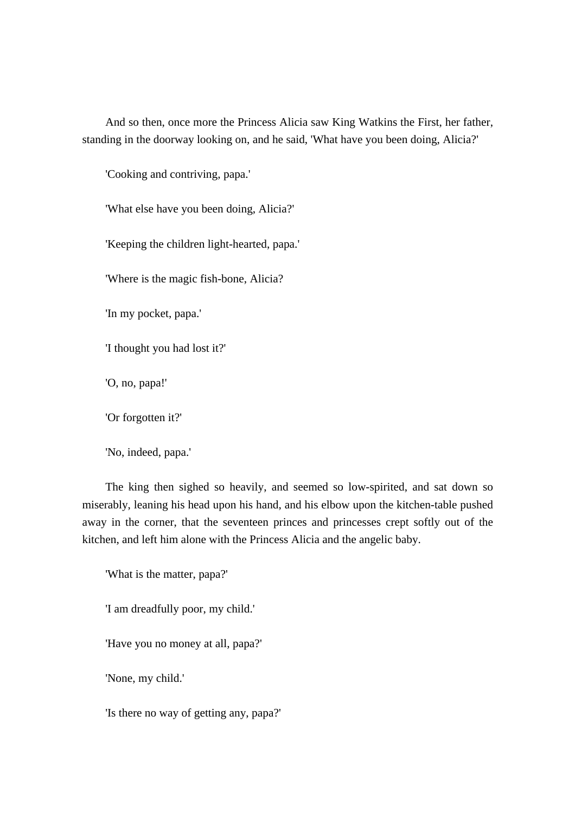And so then, once more the Princess Alicia saw King Watkins the First, her father, standing in the doorway looking on, and he said, 'What have you been doing, Alicia?'

'Cooking and contriving, papa.'

'What else have you been doing, Alicia?'

'Keeping the children light-hearted, papa.'

'Where is the magic fish-bone, Alicia?

'In my pocket, papa.'

'I thought you had lost it?'

'O, no, papa!'

'Or forgotten it?'

'No, indeed, papa.'

 The king then sighed so heavily, and seemed so low-spirited, and sat down so miserably, leaning his head upon his hand, and his elbow upon the kitchen-table pushed away in the corner, that the seventeen princes and princesses crept softly out of the kitchen, and left him alone with the Princess Alicia and the angelic baby.

'What is the matter, papa?'

'I am dreadfully poor, my child.'

'Have you no money at all, papa?'

'None, my child.'

'Is there no way of getting any, papa?'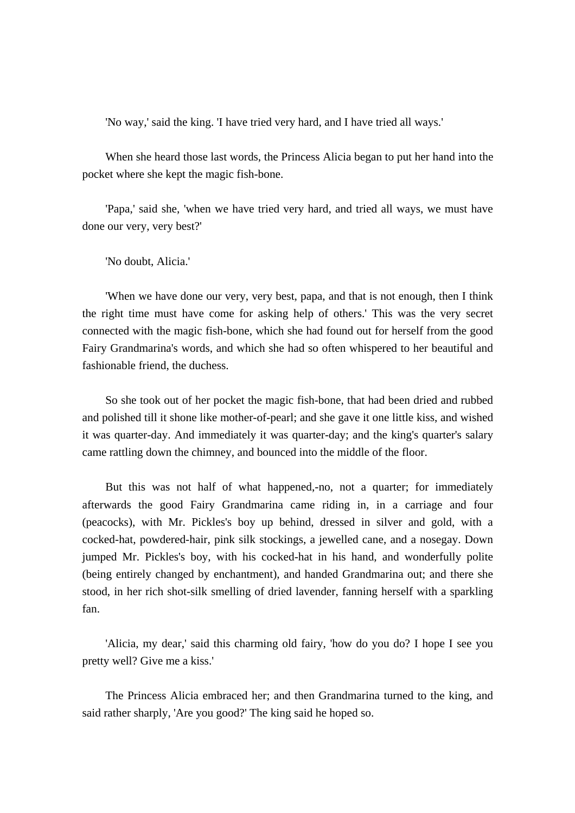'No way,' said the king. 'I have tried very hard, and I have tried all ways.'

 When she heard those last words, the Princess Alicia began to put her hand into the pocket where she kept the magic fish-bone.

 'Papa,' said she, 'when we have tried very hard, and tried all ways, we must have done our very, very best?'

'No doubt, Alicia.'

 'When we have done our very, very best, papa, and that is not enough, then I think the right time must have come for asking help of others.' This was the very secret connected with the magic fish-bone, which she had found out for herself from the good Fairy Grandmarina's words, and which she had so often whispered to her beautiful and fashionable friend, the duchess.

 So she took out of her pocket the magic fish-bone, that had been dried and rubbed and polished till it shone like mother-of-pearl; and she gave it one little kiss, and wished it was quarter-day. And immediately it was quarter-day; and the king's quarter's salary came rattling down the chimney, and bounced into the middle of the floor.

 But this was not half of what happened,-no, not a quarter; for immediately afterwards the good Fairy Grandmarina came riding in, in a carriage and four (peacocks), with Mr. Pickles's boy up behind, dressed in silver and gold, with a cocked-hat, powdered-hair, pink silk stockings, a jewelled cane, and a nosegay. Down jumped Mr. Pickles's boy, with his cocked-hat in his hand, and wonderfully polite (being entirely changed by enchantment), and handed Grandmarina out; and there she stood, in her rich shot-silk smelling of dried lavender, fanning herself with a sparkling fan.

 'Alicia, my dear,' said this charming old fairy, 'how do you do? I hope I see you pretty well? Give me a kiss.'

 The Princess Alicia embraced her; and then Grandmarina turned to the king, and said rather sharply, 'Are you good?' The king said he hoped so.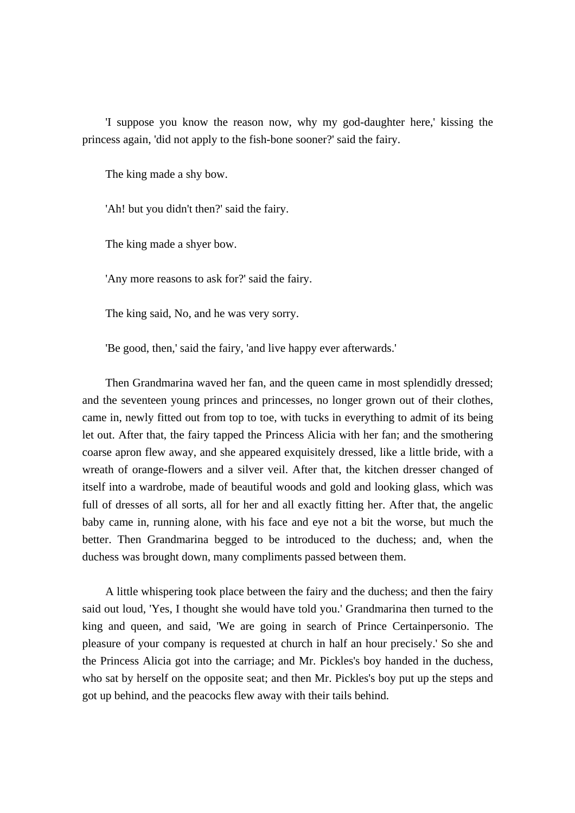'I suppose you know the reason now, why my god-daughter here,' kissing the princess again, 'did not apply to the fish-bone sooner?' said the fairy.

The king made a shy bow.

'Ah! but you didn't then?' said the fairy.

The king made a shyer bow.

'Any more reasons to ask for?' said the fairy.

The king said, No, and he was very sorry.

'Be good, then,' said the fairy, 'and live happy ever afterwards.'

 Then Grandmarina waved her fan, and the queen came in most splendidly dressed; and the seventeen young princes and princesses, no longer grown out of their clothes, came in, newly fitted out from top to toe, with tucks in everything to admit of its being let out. After that, the fairy tapped the Princess Alicia with her fan; and the smothering coarse apron flew away, and she appeared exquisitely dressed, like a little bride, with a wreath of orange-flowers and a silver veil. After that, the kitchen dresser changed of itself into a wardrobe, made of beautiful woods and gold and looking glass, which was full of dresses of all sorts, all for her and all exactly fitting her. After that, the angelic baby came in, running alone, with his face and eye not a bit the worse, but much the better. Then Grandmarina begged to be introduced to the duchess; and, when the duchess was brought down, many compliments passed between them.

 A little whispering took place between the fairy and the duchess; and then the fairy said out loud, 'Yes, I thought she would have told you.' Grandmarina then turned to the king and queen, and said, 'We are going in search of Prince Certainpersonio. The pleasure of your company is requested at church in half an hour precisely.' So she and the Princess Alicia got into the carriage; and Mr. Pickles's boy handed in the duchess, who sat by herself on the opposite seat; and then Mr. Pickles's boy put up the steps and got up behind, and the peacocks flew away with their tails behind.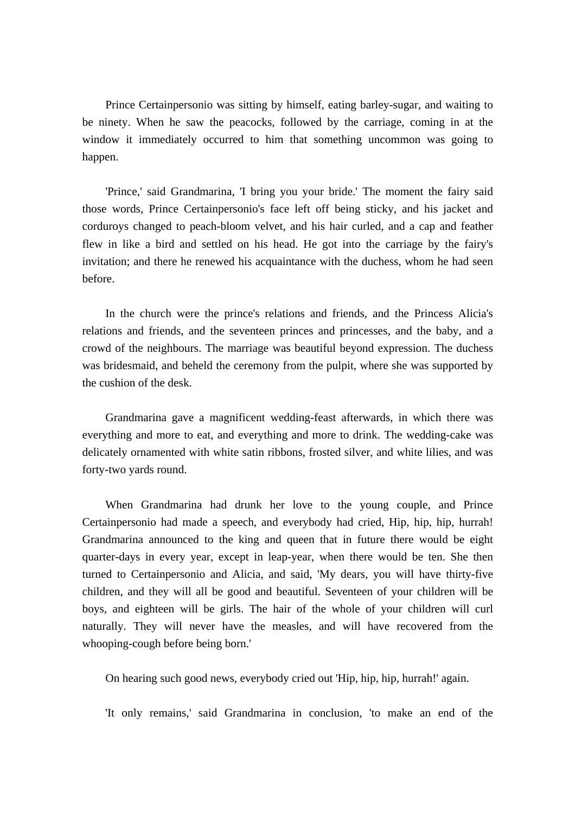Prince Certainpersonio was sitting by himself, eating barley-sugar, and waiting to be ninety. When he saw the peacocks, followed by the carriage, coming in at the window it immediately occurred to him that something uncommon was going to happen.

 'Prince,' said Grandmarina, 'I bring you your bride.' The moment the fairy said those words, Prince Certainpersonio's face left off being sticky, and his jacket and corduroys changed to peach-bloom velvet, and his hair curled, and a cap and feather flew in like a bird and settled on his head. He got into the carriage by the fairy's invitation; and there he renewed his acquaintance with the duchess, whom he had seen before.

 In the church were the prince's relations and friends, and the Princess Alicia's relations and friends, and the seventeen princes and princesses, and the baby, and a crowd of the neighbours. The marriage was beautiful beyond expression. The duchess was bridesmaid, and beheld the ceremony from the pulpit, where she was supported by the cushion of the desk.

 Grandmarina gave a magnificent wedding-feast afterwards, in which there was everything and more to eat, and everything and more to drink. The wedding-cake was delicately ornamented with white satin ribbons, frosted silver, and white lilies, and was forty-two yards round.

 When Grandmarina had drunk her love to the young couple, and Prince Certainpersonio had made a speech, and everybody had cried, Hip, hip, hip, hurrah! Grandmarina announced to the king and queen that in future there would be eight quarter-days in every year, except in leap-year, when there would be ten. She then turned to Certainpersonio and Alicia, and said, 'My dears, you will have thirty-five children, and they will all be good and beautiful. Seventeen of your children will be boys, and eighteen will be girls. The hair of the whole of your children will curl naturally. They will never have the measles, and will have recovered from the whooping-cough before being born.'

On hearing such good news, everybody cried out 'Hip, hip, hip, hurrah!' again.

'It only remains,' said Grandmarina in conclusion, 'to make an end of the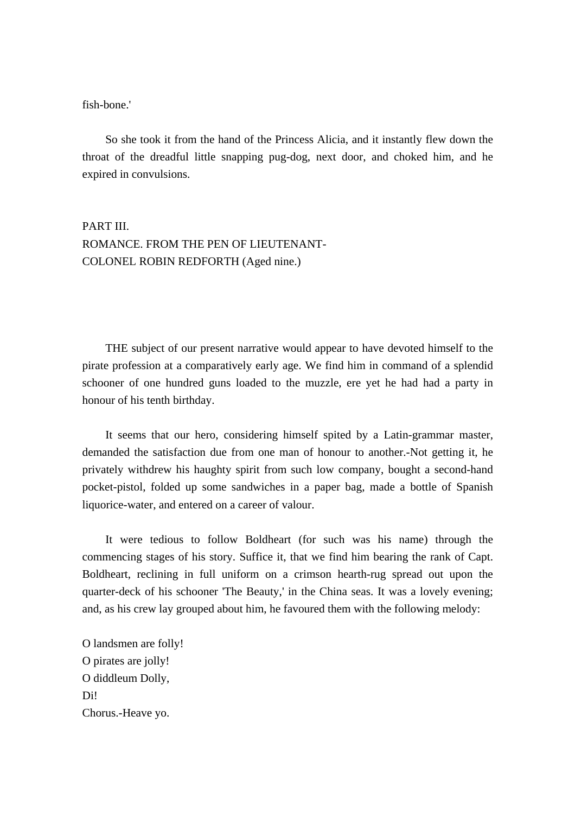#### fish-bone.'

 So she took it from the hand of the Princess Alicia, and it instantly flew down the throat of the dreadful little snapping pug-dog, next door, and choked him, and he expired in convulsions.

## PART III. ROMANCE. FROM THE PEN OF LIEUTENANT-COLONEL ROBIN REDFORTH (Aged nine.)

 THE subject of our present narrative would appear to have devoted himself to the pirate profession at a comparatively early age. We find him in command of a splendid schooner of one hundred guns loaded to the muzzle, ere yet he had had a party in honour of his tenth birthday.

 It seems that our hero, considering himself spited by a Latin-grammar master, demanded the satisfaction due from one man of honour to another.-Not getting it, he privately withdrew his haughty spirit from such low company, bought a second-hand pocket-pistol, folded up some sandwiches in a paper bag, made a bottle of Spanish liquorice-water, and entered on a career of valour.

 It were tedious to follow Boldheart (for such was his name) through the commencing stages of his story. Suffice it, that we find him bearing the rank of Capt. Boldheart, reclining in full uniform on a crimson hearth-rug spread out upon the quarter-deck of his schooner 'The Beauty,' in the China seas. It was a lovely evening; and, as his crew lay grouped about him, he favoured them with the following melody:

O landsmen are folly! O pirates are jolly! O diddleum Dolly, D<sub>i</sub> Chorus.-Heave yo.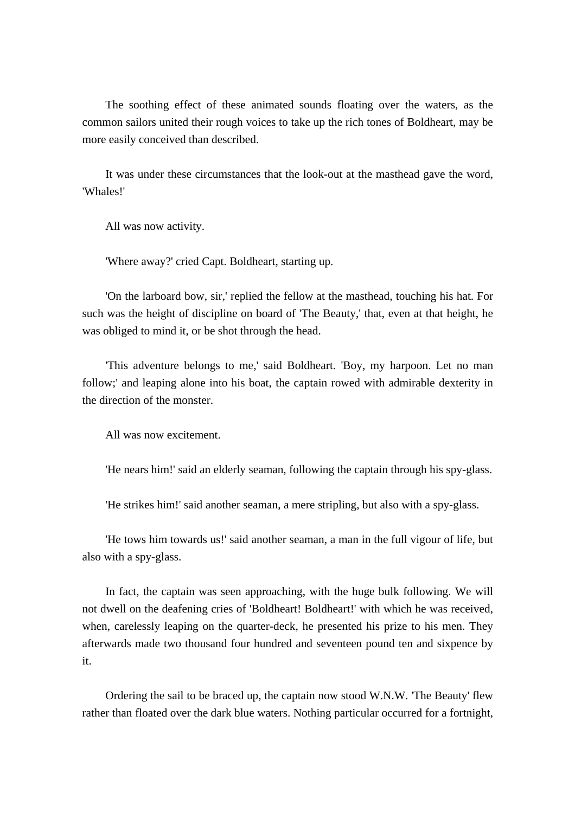The soothing effect of these animated sounds floating over the waters, as the common sailors united their rough voices to take up the rich tones of Boldheart, may be more easily conceived than described.

 It was under these circumstances that the look-out at the masthead gave the word, 'Whales!'

All was now activity.

'Where away?' cried Capt. Boldheart, starting up.

 'On the larboard bow, sir,' replied the fellow at the masthead, touching his hat. For such was the height of discipline on board of 'The Beauty,' that, even at that height, he was obliged to mind it, or be shot through the head.

 'This adventure belongs to me,' said Boldheart. 'Boy, my harpoon. Let no man follow;' and leaping alone into his boat, the captain rowed with admirable dexterity in the direction of the monster.

All was now excitement.

'He nears him!' said an elderly seaman, following the captain through his spy-glass.

'He strikes him!' said another seaman, a mere stripling, but also with a spy-glass.

 'He tows him towards us!' said another seaman, a man in the full vigour of life, but also with a spy-glass.

 In fact, the captain was seen approaching, with the huge bulk following. We will not dwell on the deafening cries of 'Boldheart! Boldheart!' with which he was received, when, carelessly leaping on the quarter-deck, he presented his prize to his men. They afterwards made two thousand four hundred and seventeen pound ten and sixpence by it.

 Ordering the sail to be braced up, the captain now stood W.N.W. 'The Beauty' flew rather than floated over the dark blue waters. Nothing particular occurred for a fortnight,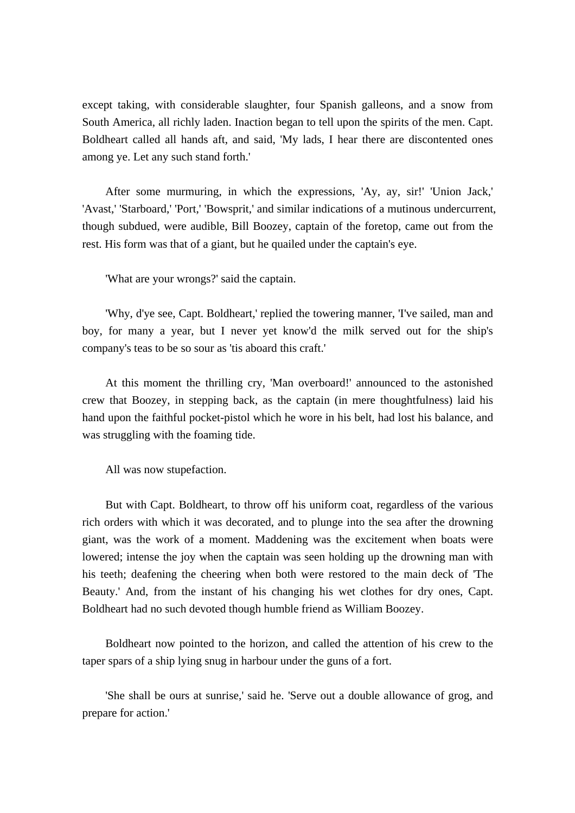except taking, with considerable slaughter, four Spanish galleons, and a snow from South America, all richly laden. Inaction began to tell upon the spirits of the men. Capt. Boldheart called all hands aft, and said, 'My lads, I hear there are discontented ones among ye. Let any such stand forth.'

 After some murmuring, in which the expressions, 'Ay, ay, sir!' 'Union Jack,' 'Avast,' 'Starboard,' 'Port,' 'Bowsprit,' and similar indications of a mutinous undercurrent, though subdued, were audible, Bill Boozey, captain of the foretop, came out from the rest. His form was that of a giant, but he quailed under the captain's eye.

'What are your wrongs?' said the captain.

 'Why, d'ye see, Capt. Boldheart,' replied the towering manner, 'I've sailed, man and boy, for many a year, but I never yet know'd the milk served out for the ship's company's teas to be so sour as 'tis aboard this craft.'

 At this moment the thrilling cry, 'Man overboard!' announced to the astonished crew that Boozey, in stepping back, as the captain (in mere thoughtfulness) laid his hand upon the faithful pocket-pistol which he wore in his belt, had lost his balance, and was struggling with the foaming tide.

All was now stupefaction.

 But with Capt. Boldheart, to throw off his uniform coat, regardless of the various rich orders with which it was decorated, and to plunge into the sea after the drowning giant, was the work of a moment. Maddening was the excitement when boats were lowered; intense the joy when the captain was seen holding up the drowning man with his teeth; deafening the cheering when both were restored to the main deck of 'The Beauty.' And, from the instant of his changing his wet clothes for dry ones, Capt. Boldheart had no such devoted though humble friend as William Boozey.

 Boldheart now pointed to the horizon, and called the attention of his crew to the taper spars of a ship lying snug in harbour under the guns of a fort.

 'She shall be ours at sunrise,' said he. 'Serve out a double allowance of grog, and prepare for action.'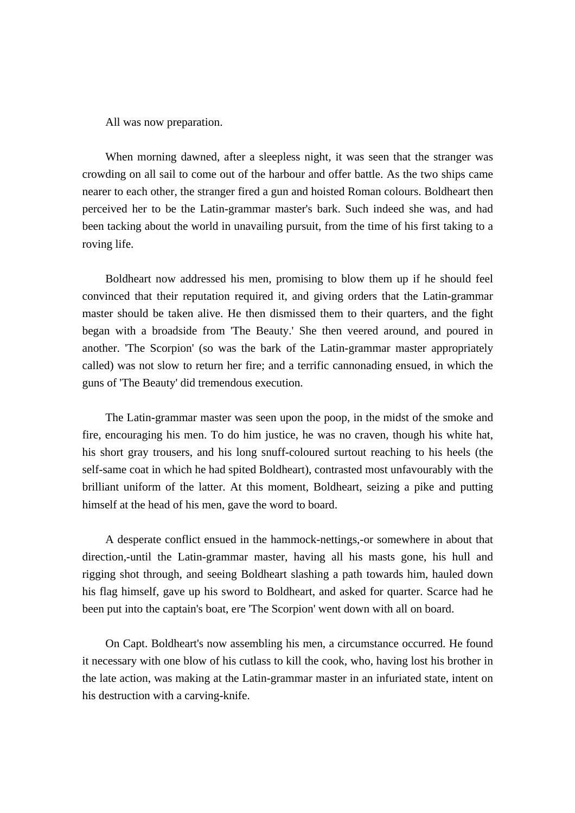All was now preparation.

 When morning dawned, after a sleepless night, it was seen that the stranger was crowding on all sail to come out of the harbour and offer battle. As the two ships came nearer to each other, the stranger fired a gun and hoisted Roman colours. Boldheart then perceived her to be the Latin-grammar master's bark. Such indeed she was, and had been tacking about the world in unavailing pursuit, from the time of his first taking to a roving life.

 Boldheart now addressed his men, promising to blow them up if he should feel convinced that their reputation required it, and giving orders that the Latin-grammar master should be taken alive. He then dismissed them to their quarters, and the fight began with a broadside from 'The Beauty.' She then veered around, and poured in another. 'The Scorpion' (so was the bark of the Latin-grammar master appropriately called) was not slow to return her fire; and a terrific cannonading ensued, in which the guns of 'The Beauty' did tremendous execution.

 The Latin-grammar master was seen upon the poop, in the midst of the smoke and fire, encouraging his men. To do him justice, he was no craven, though his white hat, his short gray trousers, and his long snuff-coloured surtout reaching to his heels (the self-same coat in which he had spited Boldheart), contrasted most unfavourably with the brilliant uniform of the latter. At this moment, Boldheart, seizing a pike and putting himself at the head of his men, gave the word to board.

 A desperate conflict ensued in the hammock-nettings,-or somewhere in about that direction,-until the Latin-grammar master, having all his masts gone, his hull and rigging shot through, and seeing Boldheart slashing a path towards him, hauled down his flag himself, gave up his sword to Boldheart, and asked for quarter. Scarce had he been put into the captain's boat, ere 'The Scorpion' went down with all on board.

 On Capt. Boldheart's now assembling his men, a circumstance occurred. He found it necessary with one blow of his cutlass to kill the cook, who, having lost his brother in the late action, was making at the Latin-grammar master in an infuriated state, intent on his destruction with a carving-knife.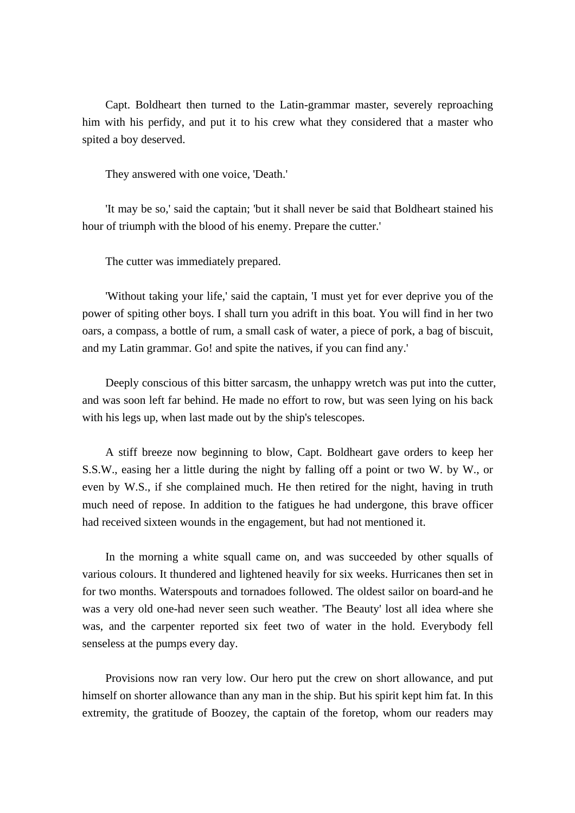Capt. Boldheart then turned to the Latin-grammar master, severely reproaching him with his perfidy, and put it to his crew what they considered that a master who spited a boy deserved.

They answered with one voice, 'Death.'

 'It may be so,' said the captain; 'but it shall never be said that Boldheart stained his hour of triumph with the blood of his enemy. Prepare the cutter.'

The cutter was immediately prepared.

 'Without taking your life,' said the captain, 'I must yet for ever deprive you of the power of spiting other boys. I shall turn you adrift in this boat. You will find in her two oars, a compass, a bottle of rum, a small cask of water, a piece of pork, a bag of biscuit, and my Latin grammar. Go! and spite the natives, if you can find any.'

 Deeply conscious of this bitter sarcasm, the unhappy wretch was put into the cutter, and was soon left far behind. He made no effort to row, but was seen lying on his back with his legs up, when last made out by the ship's telescopes.

 A stiff breeze now beginning to blow, Capt. Boldheart gave orders to keep her S.S.W., easing her a little during the night by falling off a point or two W. by W., or even by W.S., if she complained much. He then retired for the night, having in truth much need of repose. In addition to the fatigues he had undergone, this brave officer had received sixteen wounds in the engagement, but had not mentioned it.

 In the morning a white squall came on, and was succeeded by other squalls of various colours. It thundered and lightened heavily for six weeks. Hurricanes then set in for two months. Waterspouts and tornadoes followed. The oldest sailor on board-and he was a very old one-had never seen such weather. 'The Beauty' lost all idea where she was, and the carpenter reported six feet two of water in the hold. Everybody fell senseless at the pumps every day.

 Provisions now ran very low. Our hero put the crew on short allowance, and put himself on shorter allowance than any man in the ship. But his spirit kept him fat. In this extremity, the gratitude of Boozey, the captain of the foretop, whom our readers may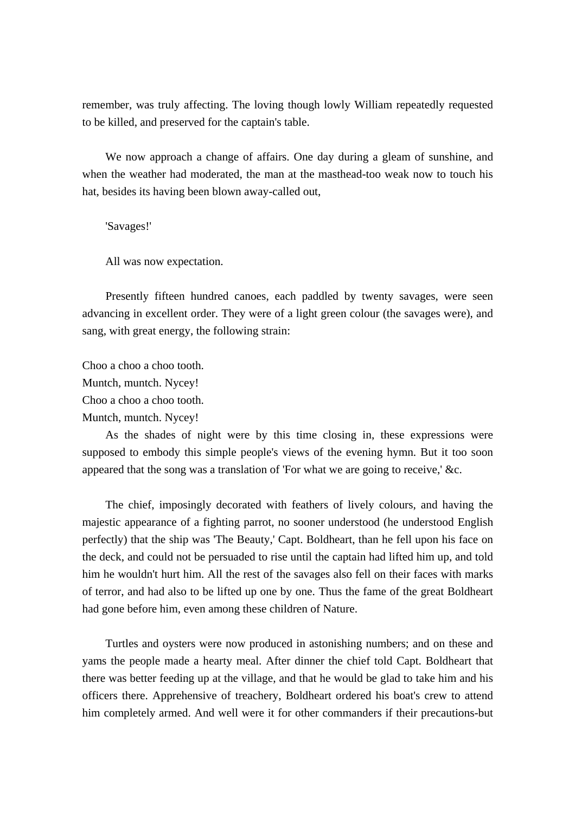remember, was truly affecting. The loving though lowly William repeatedly requested to be killed, and preserved for the captain's table.

 We now approach a change of affairs. One day during a gleam of sunshine, and when the weather had moderated, the man at the masthead-too weak now to touch his hat, besides its having been blown away-called out,

'Savages!'

All was now expectation.

 Presently fifteen hundred canoes, each paddled by twenty savages, were seen advancing in excellent order. They were of a light green colour (the savages were), and sang, with great energy, the following strain:

Choo a choo a choo tooth. Muntch, muntch. Nycey! Choo a choo a choo tooth. Muntch, muntch. Nycey!

 As the shades of night were by this time closing in, these expressions were supposed to embody this simple people's views of the evening hymn. But it too soon appeared that the song was a translation of 'For what we are going to receive,' &c.

 The chief, imposingly decorated with feathers of lively colours, and having the majestic appearance of a fighting parrot, no sooner understood (he understood English perfectly) that the ship was 'The Beauty,' Capt. Boldheart, than he fell upon his face on the deck, and could not be persuaded to rise until the captain had lifted him up, and told him he wouldn't hurt him. All the rest of the savages also fell on their faces with marks of terror, and had also to be lifted up one by one. Thus the fame of the great Boldheart had gone before him, even among these children of Nature.

 Turtles and oysters were now produced in astonishing numbers; and on these and yams the people made a hearty meal. After dinner the chief told Capt. Boldheart that there was better feeding up at the village, and that he would be glad to take him and his officers there. Apprehensive of treachery, Boldheart ordered his boat's crew to attend him completely armed. And well were it for other commanders if their precautions-but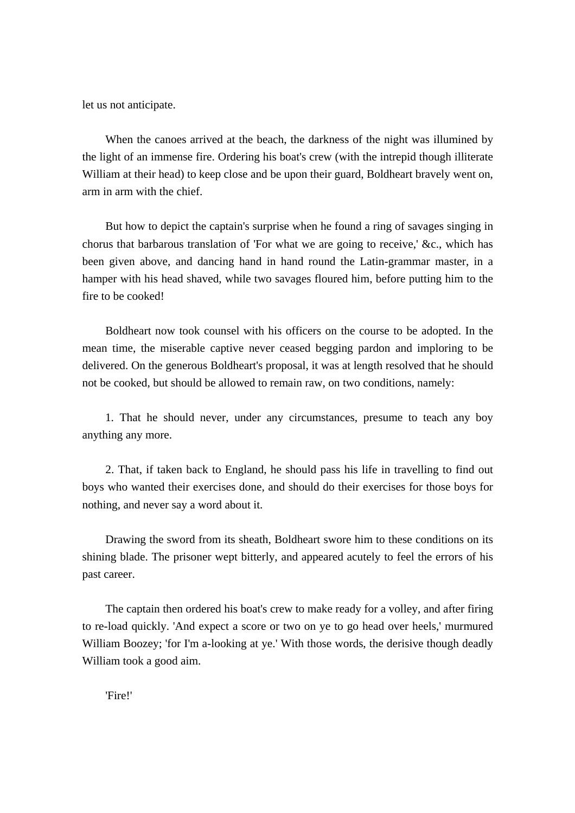let us not anticipate.

 When the canoes arrived at the beach, the darkness of the night was illumined by the light of an immense fire. Ordering his boat's crew (with the intrepid though illiterate William at their head) to keep close and be upon their guard, Boldheart bravely went on, arm in arm with the chief.

 But how to depict the captain's surprise when he found a ring of savages singing in chorus that barbarous translation of 'For what we are going to receive,' &c., which has been given above, and dancing hand in hand round the Latin-grammar master, in a hamper with his head shaved, while two savages floured him, before putting him to the fire to be cooked!

 Boldheart now took counsel with his officers on the course to be adopted. In the mean time, the miserable captive never ceased begging pardon and imploring to be delivered. On the generous Boldheart's proposal, it was at length resolved that he should not be cooked, but should be allowed to remain raw, on two conditions, namely:

 1. That he should never, under any circumstances, presume to teach any boy anything any more.

 2. That, if taken back to England, he should pass his life in travelling to find out boys who wanted their exercises done, and should do their exercises for those boys for nothing, and never say a word about it.

 Drawing the sword from its sheath, Boldheart swore him to these conditions on its shining blade. The prisoner wept bitterly, and appeared acutely to feel the errors of his past career.

 The captain then ordered his boat's crew to make ready for a volley, and after firing to re-load quickly. 'And expect a score or two on ye to go head over heels,' murmured William Boozey; 'for I'm a-looking at ye.' With those words, the derisive though deadly William took a good aim.

'Fire!'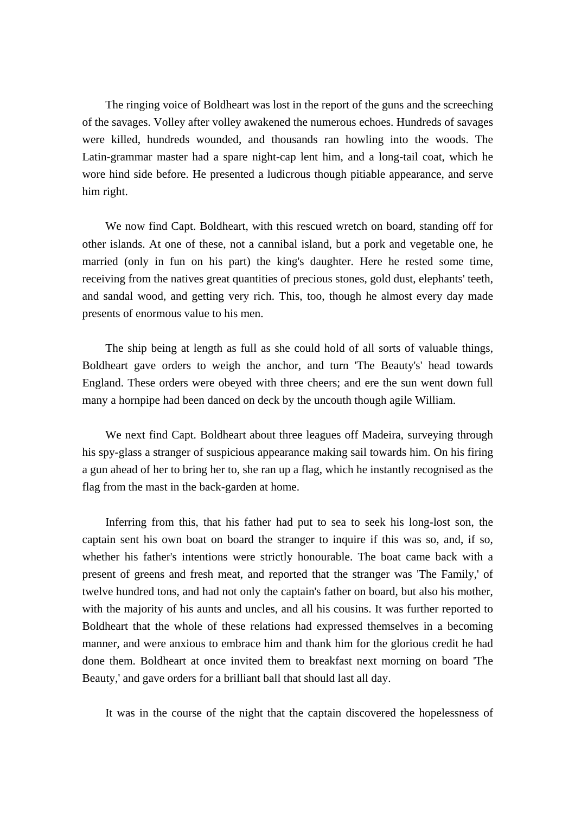The ringing voice of Boldheart was lost in the report of the guns and the screeching of the savages. Volley after volley awakened the numerous echoes. Hundreds of savages were killed, hundreds wounded, and thousands ran howling into the woods. The Latin-grammar master had a spare night-cap lent him, and a long-tail coat, which he wore hind side before. He presented a ludicrous though pitiable appearance, and serve him right.

 We now find Capt. Boldheart, with this rescued wretch on board, standing off for other islands. At one of these, not a cannibal island, but a pork and vegetable one, he married (only in fun on his part) the king's daughter. Here he rested some time, receiving from the natives great quantities of precious stones, gold dust, elephants' teeth, and sandal wood, and getting very rich. This, too, though he almost every day made presents of enormous value to his men.

 The ship being at length as full as she could hold of all sorts of valuable things, Boldheart gave orders to weigh the anchor, and turn 'The Beauty's' head towards England. These orders were obeyed with three cheers; and ere the sun went down full many a hornpipe had been danced on deck by the uncouth though agile William.

 We next find Capt. Boldheart about three leagues off Madeira, surveying through his spy-glass a stranger of suspicious appearance making sail towards him. On his firing a gun ahead of her to bring her to, she ran up a flag, which he instantly recognised as the flag from the mast in the back-garden at home.

 Inferring from this, that his father had put to sea to seek his long-lost son, the captain sent his own boat on board the stranger to inquire if this was so, and, if so, whether his father's intentions were strictly honourable. The boat came back with a present of greens and fresh meat, and reported that the stranger was 'The Family,' of twelve hundred tons, and had not only the captain's father on board, but also his mother, with the majority of his aunts and uncles, and all his cousins. It was further reported to Boldheart that the whole of these relations had expressed themselves in a becoming manner, and were anxious to embrace him and thank him for the glorious credit he had done them. Boldheart at once invited them to breakfast next morning on board 'The Beauty,' and gave orders for a brilliant ball that should last all day.

It was in the course of the night that the captain discovered the hopelessness of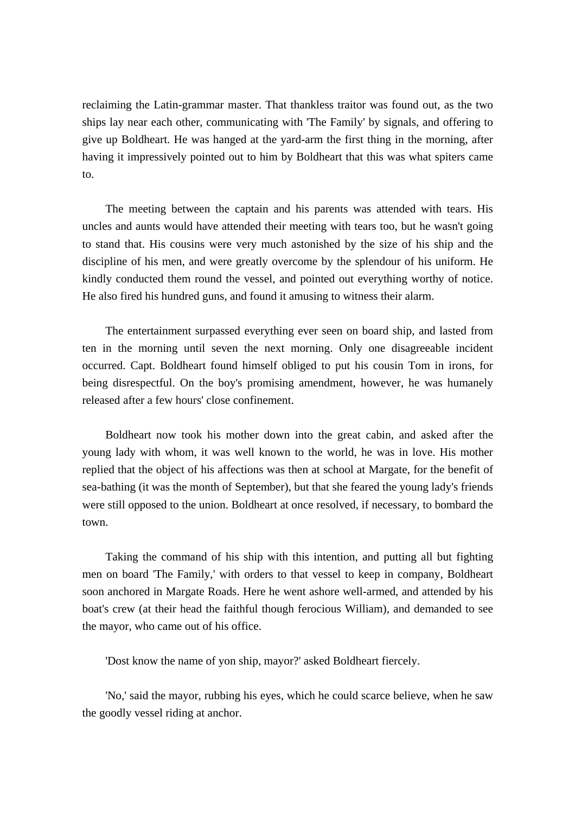reclaiming the Latin-grammar master. That thankless traitor was found out, as the two ships lay near each other, communicating with 'The Family' by signals, and offering to give up Boldheart. He was hanged at the yard-arm the first thing in the morning, after having it impressively pointed out to him by Boldheart that this was what spiters came to.

 The meeting between the captain and his parents was attended with tears. His uncles and aunts would have attended their meeting with tears too, but he wasn't going to stand that. His cousins were very much astonished by the size of his ship and the discipline of his men, and were greatly overcome by the splendour of his uniform. He kindly conducted them round the vessel, and pointed out everything worthy of notice. He also fired his hundred guns, and found it amusing to witness their alarm.

 The entertainment surpassed everything ever seen on board ship, and lasted from ten in the morning until seven the next morning. Only one disagreeable incident occurred. Capt. Boldheart found himself obliged to put his cousin Tom in irons, for being disrespectful. On the boy's promising amendment, however, he was humanely released after a few hours' close confinement.

 Boldheart now took his mother down into the great cabin, and asked after the young lady with whom, it was well known to the world, he was in love. His mother replied that the object of his affections was then at school at Margate, for the benefit of sea-bathing (it was the month of September), but that she feared the young lady's friends were still opposed to the union. Boldheart at once resolved, if necessary, to bombard the town.

 Taking the command of his ship with this intention, and putting all but fighting men on board 'The Family,' with orders to that vessel to keep in company, Boldheart soon anchored in Margate Roads. Here he went ashore well-armed, and attended by his boat's crew (at their head the faithful though ferocious William), and demanded to see the mayor, who came out of his office.

'Dost know the name of yon ship, mayor?' asked Boldheart fiercely.

 'No,' said the mayor, rubbing his eyes, which he could scarce believe, when he saw the goodly vessel riding at anchor.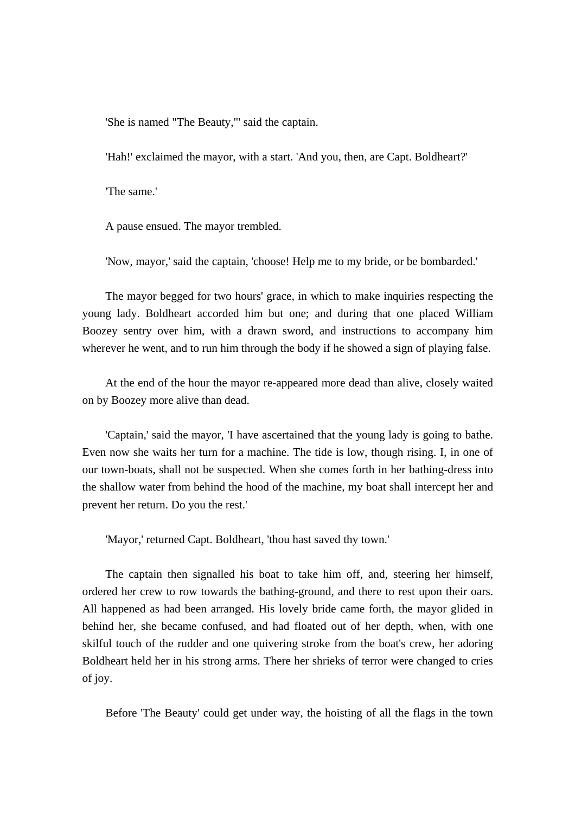'She is named "The Beauty,"' said the captain.

'Hah!' exclaimed the mayor, with a start. 'And you, then, are Capt. Boldheart?'

'The same.'

A pause ensued. The mayor trembled.

'Now, mayor,' said the captain, 'choose! Help me to my bride, or be bombarded.'

 The mayor begged for two hours' grace, in which to make inquiries respecting the young lady. Boldheart accorded him but one; and during that one placed William Boozey sentry over him, with a drawn sword, and instructions to accompany him wherever he went, and to run him through the body if he showed a sign of playing false.

 At the end of the hour the mayor re-appeared more dead than alive, closely waited on by Boozey more alive than dead.

 'Captain,' said the mayor, 'I have ascertained that the young lady is going to bathe. Even now she waits her turn for a machine. The tide is low, though rising. I, in one of our town-boats, shall not be suspected. When she comes forth in her bathing-dress into the shallow water from behind the hood of the machine, my boat shall intercept her and prevent her return. Do you the rest.'

'Mayor,' returned Capt. Boldheart, 'thou hast saved thy town.'

 The captain then signalled his boat to take him off, and, steering her himself, ordered her crew to row towards the bathing-ground, and there to rest upon their oars. All happened as had been arranged. His lovely bride came forth, the mayor glided in behind her, she became confused, and had floated out of her depth, when, with one skilful touch of the rudder and one quivering stroke from the boat's crew, her adoring Boldheart held her in his strong arms. There her shrieks of terror were changed to cries of joy.

Before 'The Beauty' could get under way, the hoisting of all the flags in the town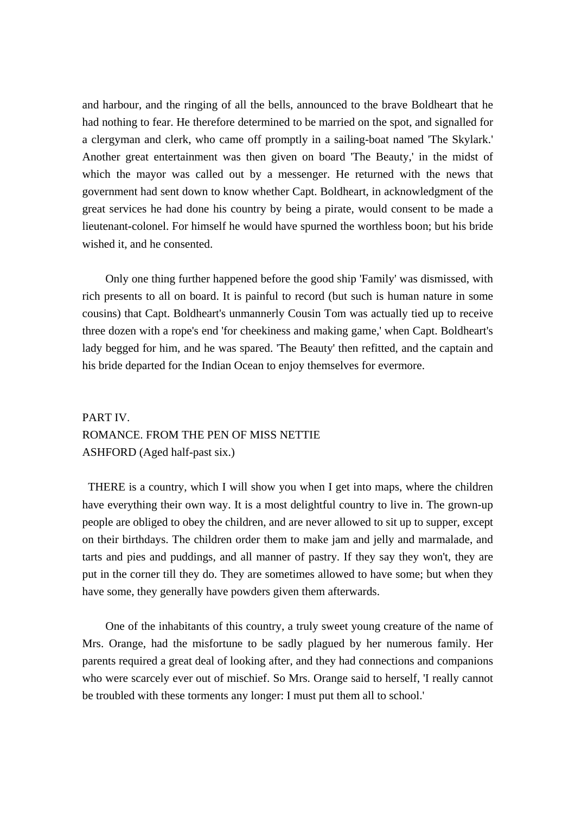and harbour, and the ringing of all the bells, announced to the brave Boldheart that he had nothing to fear. He therefore determined to be married on the spot, and signalled for a clergyman and clerk, who came off promptly in a sailing-boat named 'The Skylark.' Another great entertainment was then given on board 'The Beauty,' in the midst of which the mayor was called out by a messenger. He returned with the news that government had sent down to know whether Capt. Boldheart, in acknowledgment of the great services he had done his country by being a pirate, would consent to be made a lieutenant-colonel. For himself he would have spurned the worthless boon; but his bride wished it, and he consented.

 Only one thing further happened before the good ship 'Family' was dismissed, with rich presents to all on board. It is painful to record (but such is human nature in some cousins) that Capt. Boldheart's unmannerly Cousin Tom was actually tied up to receive three dozen with a rope's end 'for cheekiness and making game,' when Capt. Boldheart's lady begged for him, and he was spared. 'The Beauty' then refitted, and the captain and his bride departed for the Indian Ocean to enjoy themselves for evermore.

# PART IV. ROMANCE. FROM THE PEN OF MISS NETTIE ASHFORD (Aged half-past six.)

 THERE is a country, which I will show you when I get into maps, where the children have everything their own way. It is a most delightful country to live in. The grown-up people are obliged to obey the children, and are never allowed to sit up to supper, except on their birthdays. The children order them to make jam and jelly and marmalade, and tarts and pies and puddings, and all manner of pastry. If they say they won't, they are put in the corner till they do. They are sometimes allowed to have some; but when they have some, they generally have powders given them afterwards.

 One of the inhabitants of this country, a truly sweet young creature of the name of Mrs. Orange, had the misfortune to be sadly plagued by her numerous family. Her parents required a great deal of looking after, and they had connections and companions who were scarcely ever out of mischief. So Mrs. Orange said to herself, 'I really cannot be troubled with these torments any longer: I must put them all to school.'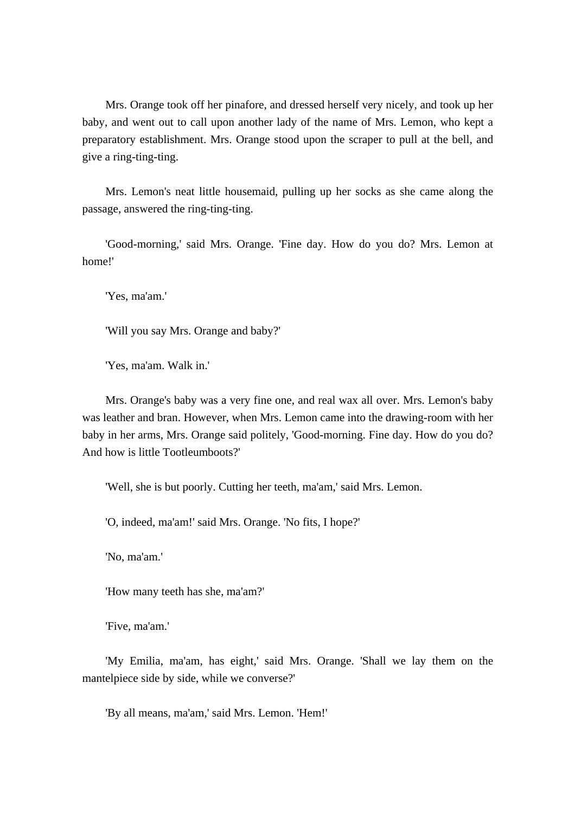Mrs. Orange took off her pinafore, and dressed herself very nicely, and took up her baby, and went out to call upon another lady of the name of Mrs. Lemon, who kept a preparatory establishment. Mrs. Orange stood upon the scraper to pull at the bell, and give a ring-ting-ting.

 Mrs. Lemon's neat little housemaid, pulling up her socks as she came along the passage, answered the ring-ting-ting.

 'Good-morning,' said Mrs. Orange. 'Fine day. How do you do? Mrs. Lemon at home!'

'Yes, ma'am.'

'Will you say Mrs. Orange and baby?'

'Yes, ma'am. Walk in.'

 Mrs. Orange's baby was a very fine one, and real wax all over. Mrs. Lemon's baby was leather and bran. However, when Mrs. Lemon came into the drawing-room with her baby in her arms, Mrs. Orange said politely, 'Good-morning. Fine day. How do you do? And how is little Tootleumboots?'

'Well, she is but poorly. Cutting her teeth, ma'am,' said Mrs. Lemon.

'O, indeed, ma'am!' said Mrs. Orange. 'No fits, I hope?'

'No, ma'am.'

'How many teeth has she, ma'am?'

'Five, ma'am.'

 'My Emilia, ma'am, has eight,' said Mrs. Orange. 'Shall we lay them on the mantelpiece side by side, while we converse?'

'By all means, ma'am,' said Mrs. Lemon. 'Hem!'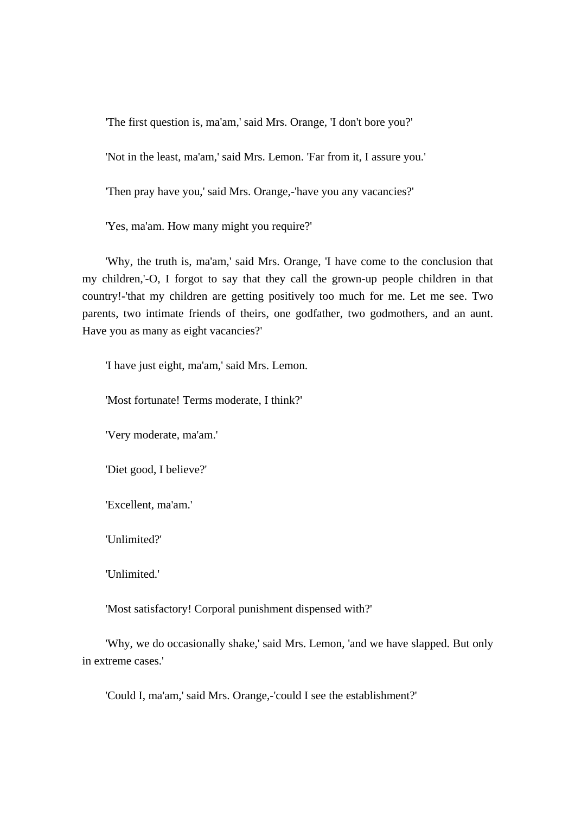'The first question is, ma'am,' said Mrs. Orange, 'I don't bore you?'

'Not in the least, ma'am,' said Mrs. Lemon. 'Far from it, I assure you.'

'Then pray have you,' said Mrs. Orange,-'have you any vacancies?'

'Yes, ma'am. How many might you require?'

 'Why, the truth is, ma'am,' said Mrs. Orange, 'I have come to the conclusion that my children,'-O, I forgot to say that they call the grown-up people children in that country!-'that my children are getting positively too much for me. Let me see. Two parents, two intimate friends of theirs, one godfather, two godmothers, and an aunt. Have you as many as eight vacancies?'

'I have just eight, ma'am,' said Mrs. Lemon.

'Most fortunate! Terms moderate, I think?'

'Very moderate, ma'am.'

'Diet good, I believe?'

'Excellent, ma'am.'

'Unlimited?'

'Unlimited.'

'Most satisfactory! Corporal punishment dispensed with?'

 'Why, we do occasionally shake,' said Mrs. Lemon, 'and we have slapped. But only in extreme cases.'

'Could I, ma'am,' said Mrs. Orange,-'could I see the establishment?'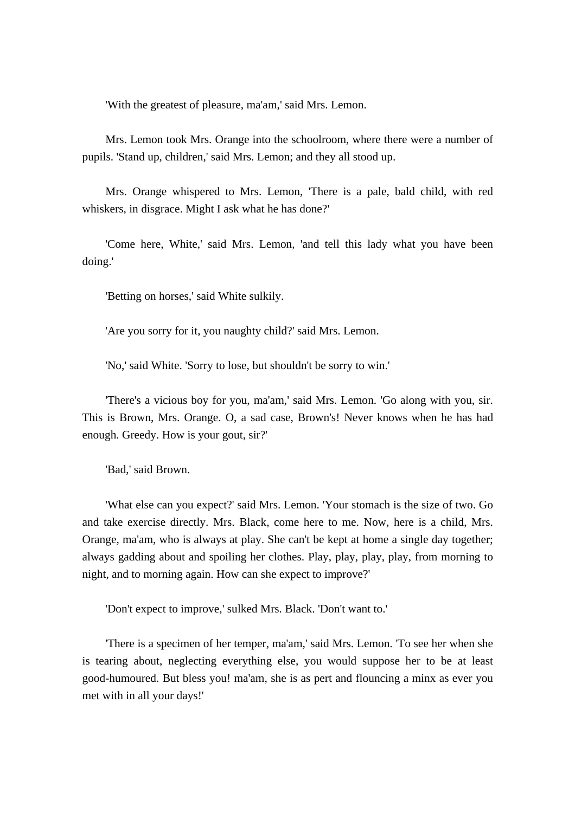'With the greatest of pleasure, ma'am,' said Mrs. Lemon.

 Mrs. Lemon took Mrs. Orange into the schoolroom, where there were a number of pupils. 'Stand up, children,' said Mrs. Lemon; and they all stood up.

 Mrs. Orange whispered to Mrs. Lemon, 'There is a pale, bald child, with red whiskers, in disgrace. Might I ask what he has done?'

 'Come here, White,' said Mrs. Lemon, 'and tell this lady what you have been doing.'

'Betting on horses,' said White sulkily.

'Are you sorry for it, you naughty child?' said Mrs. Lemon.

'No,' said White. 'Sorry to lose, but shouldn't be sorry to win.'

 'There's a vicious boy for you, ma'am,' said Mrs. Lemon. 'Go along with you, sir. This is Brown, Mrs. Orange. O, a sad case, Brown's! Never knows when he has had enough. Greedy. How is your gout, sir?'

'Bad,' said Brown.

 'What else can you expect?' said Mrs. Lemon. 'Your stomach is the size of two. Go and take exercise directly. Mrs. Black, come here to me. Now, here is a child, Mrs. Orange, ma'am, who is always at play. She can't be kept at home a single day together; always gadding about and spoiling her clothes. Play, play, play, play, from morning to night, and to morning again. How can she expect to improve?'

'Don't expect to improve,' sulked Mrs. Black. 'Don't want to.'

 'There is a specimen of her temper, ma'am,' said Mrs. Lemon. 'To see her when she is tearing about, neglecting everything else, you would suppose her to be at least good-humoured. But bless you! ma'am, she is as pert and flouncing a minx as ever you met with in all your days!'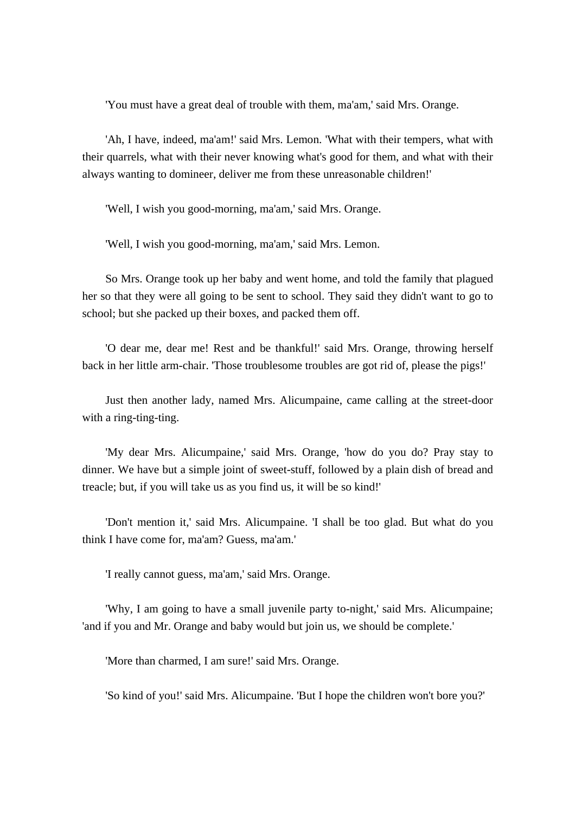'You must have a great deal of trouble with them, ma'am,' said Mrs. Orange.

 'Ah, I have, indeed, ma'am!' said Mrs. Lemon. 'What with their tempers, what with their quarrels, what with their never knowing what's good for them, and what with their always wanting to domineer, deliver me from these unreasonable children!'

'Well, I wish you good-morning, ma'am,' said Mrs. Orange.

'Well, I wish you good-morning, ma'am,' said Mrs. Lemon.

 So Mrs. Orange took up her baby and went home, and told the family that plagued her so that they were all going to be sent to school. They said they didn't want to go to school; but she packed up their boxes, and packed them off.

 'O dear me, dear me! Rest and be thankful!' said Mrs. Orange, throwing herself back in her little arm-chair. 'Those troublesome troubles are got rid of, please the pigs!'

 Just then another lady, named Mrs. Alicumpaine, came calling at the street-door with a ring-ting-ting.

 'My dear Mrs. Alicumpaine,' said Mrs. Orange, 'how do you do? Pray stay to dinner. We have but a simple joint of sweet-stuff, followed by a plain dish of bread and treacle; but, if you will take us as you find us, it will be so kind!'

 'Don't mention it,' said Mrs. Alicumpaine. 'I shall be too glad. But what do you think I have come for, ma'am? Guess, ma'am.'

'I really cannot guess, ma'am,' said Mrs. Orange.

 'Why, I am going to have a small juvenile party to-night,' said Mrs. Alicumpaine; 'and if you and Mr. Orange and baby would but join us, we should be complete.'

'More than charmed, I am sure!' said Mrs. Orange.

'So kind of you!' said Mrs. Alicumpaine. 'But I hope the children won't bore you?'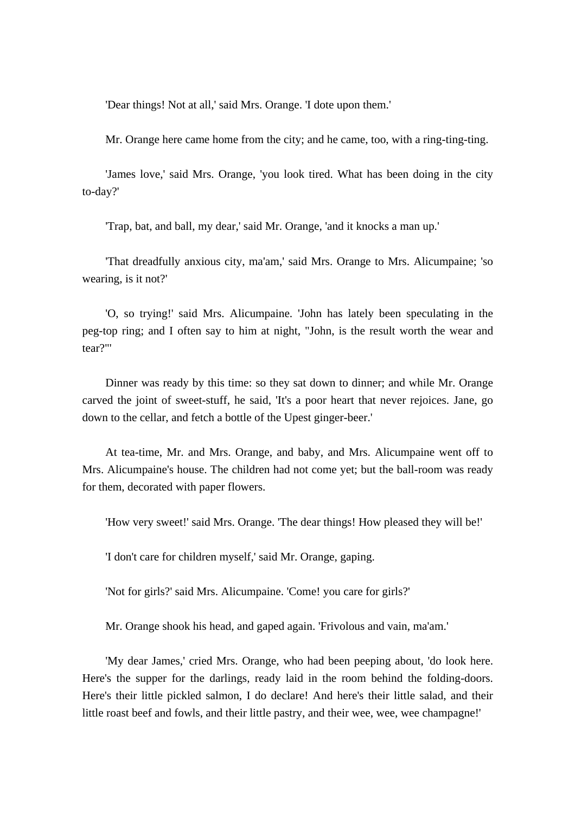'Dear things! Not at all,' said Mrs. Orange. 'I dote upon them.'

Mr. Orange here came home from the city; and he came, too, with a ring-ting-ting.

 'James love,' said Mrs. Orange, 'you look tired. What has been doing in the city to-day?'

'Trap, bat, and ball, my dear,' said Mr. Orange, 'and it knocks a man up.'

 'That dreadfully anxious city, ma'am,' said Mrs. Orange to Mrs. Alicumpaine; 'so wearing, is it not?'

 'O, so trying!' said Mrs. Alicumpaine. 'John has lately been speculating in the peg-top ring; and I often say to him at night, "John, is the result worth the wear and tear?"'

 Dinner was ready by this time: so they sat down to dinner; and while Mr. Orange carved the joint of sweet-stuff, he said, 'It's a poor heart that never rejoices. Jane, go down to the cellar, and fetch a bottle of the Upest ginger-beer.'

 At tea-time, Mr. and Mrs. Orange, and baby, and Mrs. Alicumpaine went off to Mrs. Alicumpaine's house. The children had not come yet; but the ball-room was ready for them, decorated with paper flowers.

'How very sweet!' said Mrs. Orange. 'The dear things! How pleased they will be!'

'I don't care for children myself,' said Mr. Orange, gaping.

'Not for girls?' said Mrs. Alicumpaine. 'Come! you care for girls?'

Mr. Orange shook his head, and gaped again. 'Frivolous and vain, ma'am.'

 'My dear James,' cried Mrs. Orange, who had been peeping about, 'do look here. Here's the supper for the darlings, ready laid in the room behind the folding-doors. Here's their little pickled salmon, I do declare! And here's their little salad, and their little roast beef and fowls, and their little pastry, and their wee, wee, wee champagne!'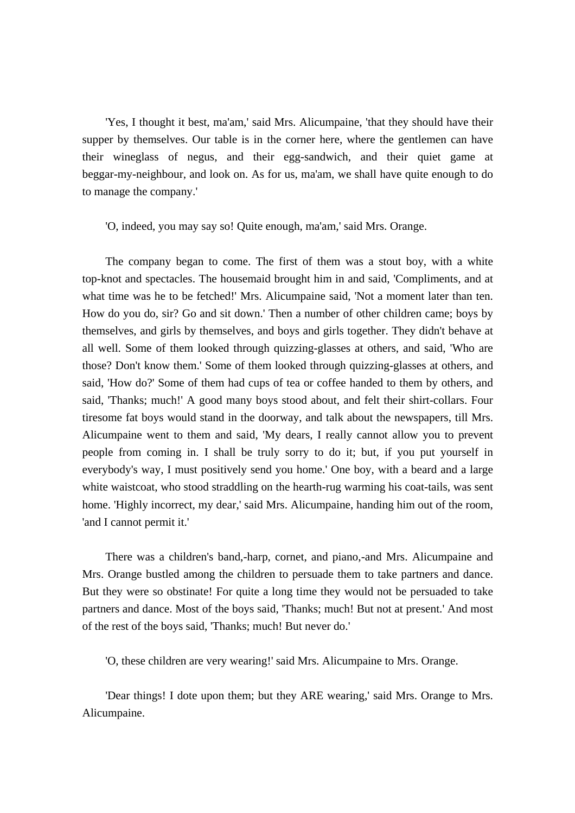'Yes, I thought it best, ma'am,' said Mrs. Alicumpaine, 'that they should have their supper by themselves. Our table is in the corner here, where the gentlemen can have their wineglass of negus, and their egg-sandwich, and their quiet game at beggar-my-neighbour, and look on. As for us, ma'am, we shall have quite enough to do to manage the company.'

'O, indeed, you may say so! Quite enough, ma'am,' said Mrs. Orange.

 The company began to come. The first of them was a stout boy, with a white top-knot and spectacles. The housemaid brought him in and said, 'Compliments, and at what time was he to be fetched!' Mrs. Alicumpaine said, 'Not a moment later than ten. How do you do, sir? Go and sit down.' Then a number of other children came; boys by themselves, and girls by themselves, and boys and girls together. They didn't behave at all well. Some of them looked through quizzing-glasses at others, and said, 'Who are those? Don't know them.' Some of them looked through quizzing-glasses at others, and said, 'How do?' Some of them had cups of tea or coffee handed to them by others, and said, 'Thanks; much!' A good many boys stood about, and felt their shirt-collars. Four tiresome fat boys would stand in the doorway, and talk about the newspapers, till Mrs. Alicumpaine went to them and said, 'My dears, I really cannot allow you to prevent people from coming in. I shall be truly sorry to do it; but, if you put yourself in everybody's way, I must positively send you home.' One boy, with a beard and a large white waistcoat, who stood straddling on the hearth-rug warming his coat-tails, was sent home. 'Highly incorrect, my dear,' said Mrs. Alicumpaine, handing him out of the room, 'and I cannot permit it.'

 There was a children's band,-harp, cornet, and piano,-and Mrs. Alicumpaine and Mrs. Orange bustled among the children to persuade them to take partners and dance. But they were so obstinate! For quite a long time they would not be persuaded to take partners and dance. Most of the boys said, 'Thanks; much! But not at present.' And most of the rest of the boys said, 'Thanks; much! But never do.'

'O, these children are very wearing!' said Mrs. Alicumpaine to Mrs. Orange.

 'Dear things! I dote upon them; but they ARE wearing,' said Mrs. Orange to Mrs. Alicumpaine.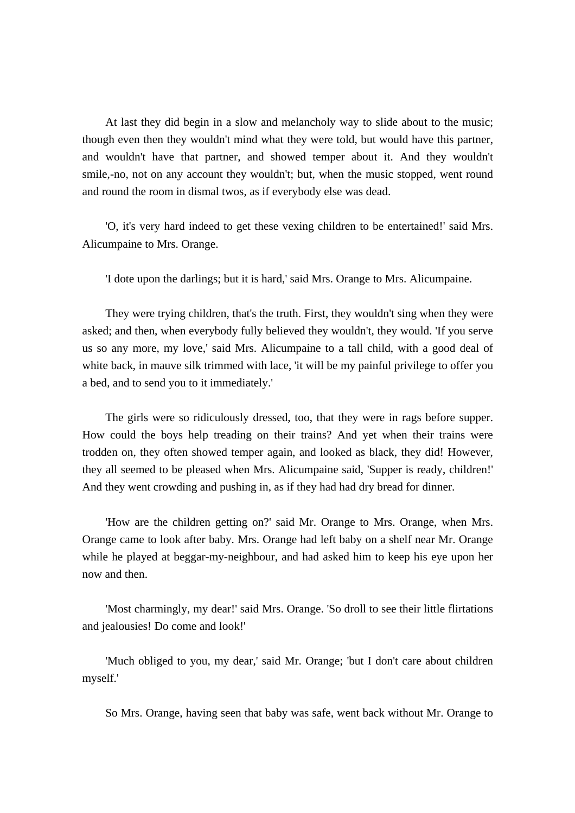At last they did begin in a slow and melancholy way to slide about to the music; though even then they wouldn't mind what they were told, but would have this partner, and wouldn't have that partner, and showed temper about it. And they wouldn't smile,-no, not on any account they wouldn't; but, when the music stopped, went round and round the room in dismal twos, as if everybody else was dead.

 'O, it's very hard indeed to get these vexing children to be entertained!' said Mrs. Alicumpaine to Mrs. Orange.

'I dote upon the darlings; but it is hard,' said Mrs. Orange to Mrs. Alicumpaine.

 They were trying children, that's the truth. First, they wouldn't sing when they were asked; and then, when everybody fully believed they wouldn't, they would. 'If you serve us so any more, my love,' said Mrs. Alicumpaine to a tall child, with a good deal of white back, in mauve silk trimmed with lace, 'it will be my painful privilege to offer you a bed, and to send you to it immediately.'

 The girls were so ridiculously dressed, too, that they were in rags before supper. How could the boys help treading on their trains? And yet when their trains were trodden on, they often showed temper again, and looked as black, they did! However, they all seemed to be pleased when Mrs. Alicumpaine said, 'Supper is ready, children!' And they went crowding and pushing in, as if they had had dry bread for dinner.

 'How are the children getting on?' said Mr. Orange to Mrs. Orange, when Mrs. Orange came to look after baby. Mrs. Orange had left baby on a shelf near Mr. Orange while he played at beggar-my-neighbour, and had asked him to keep his eye upon her now and then.

 'Most charmingly, my dear!' said Mrs. Orange. 'So droll to see their little flirtations and jealousies! Do come and look!'

 'Much obliged to you, my dear,' said Mr. Orange; 'but I don't care about children myself.'

So Mrs. Orange, having seen that baby was safe, went back without Mr. Orange to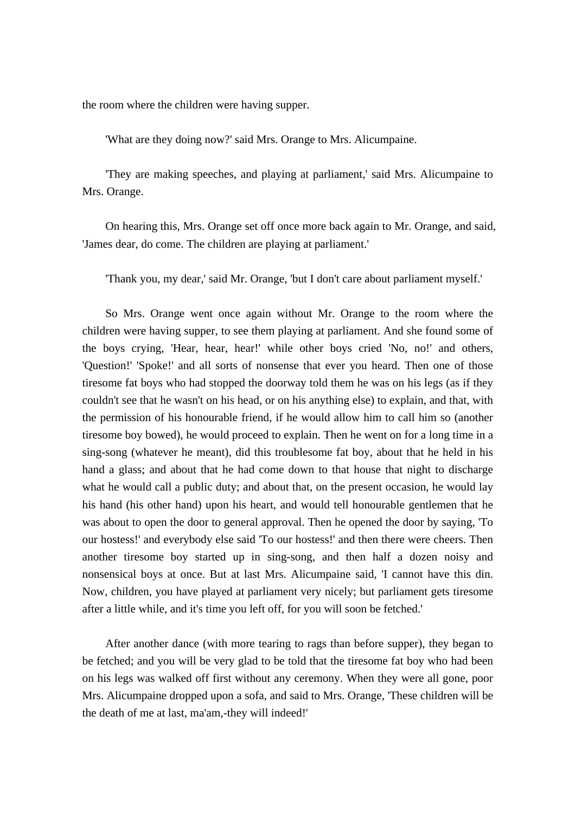the room where the children were having supper.

'What are they doing now?' said Mrs. Orange to Mrs. Alicumpaine.

 'They are making speeches, and playing at parliament,' said Mrs. Alicumpaine to Mrs. Orange.

 On hearing this, Mrs. Orange set off once more back again to Mr. Orange, and said, 'James dear, do come. The children are playing at parliament.'

'Thank you, my dear,' said Mr. Orange, 'but I don't care about parliament myself.'

 So Mrs. Orange went once again without Mr. Orange to the room where the children were having supper, to see them playing at parliament. And she found some of the boys crying, 'Hear, hear, hear!' while other boys cried 'No, no!' and others, 'Question!' 'Spoke!' and all sorts of nonsense that ever you heard. Then one of those tiresome fat boys who had stopped the doorway told them he was on his legs (as if they couldn't see that he wasn't on his head, or on his anything else) to explain, and that, with the permission of his honourable friend, if he would allow him to call him so (another tiresome boy bowed), he would proceed to explain. Then he went on for a long time in a sing-song (whatever he meant), did this troublesome fat boy, about that he held in his hand a glass; and about that he had come down to that house that night to discharge what he would call a public duty; and about that, on the present occasion, he would lay his hand (his other hand) upon his heart, and would tell honourable gentlemen that he was about to open the door to general approval. Then he opened the door by saying, 'To our hostess!' and everybody else said 'To our hostess!' and then there were cheers. Then another tiresome boy started up in sing-song, and then half a dozen noisy and nonsensical boys at once. But at last Mrs. Alicumpaine said, 'I cannot have this din. Now, children, you have played at parliament very nicely; but parliament gets tiresome after a little while, and it's time you left off, for you will soon be fetched.'

 After another dance (with more tearing to rags than before supper), they began to be fetched; and you will be very glad to be told that the tiresome fat boy who had been on his legs was walked off first without any ceremony. When they were all gone, poor Mrs. Alicumpaine dropped upon a sofa, and said to Mrs. Orange, 'These children will be the death of me at last, ma'am,-they will indeed!'